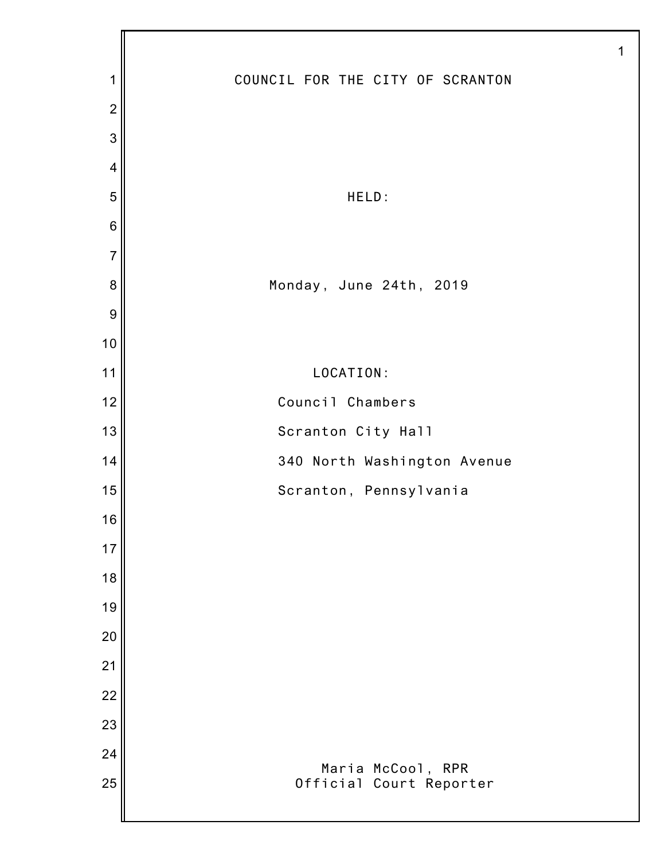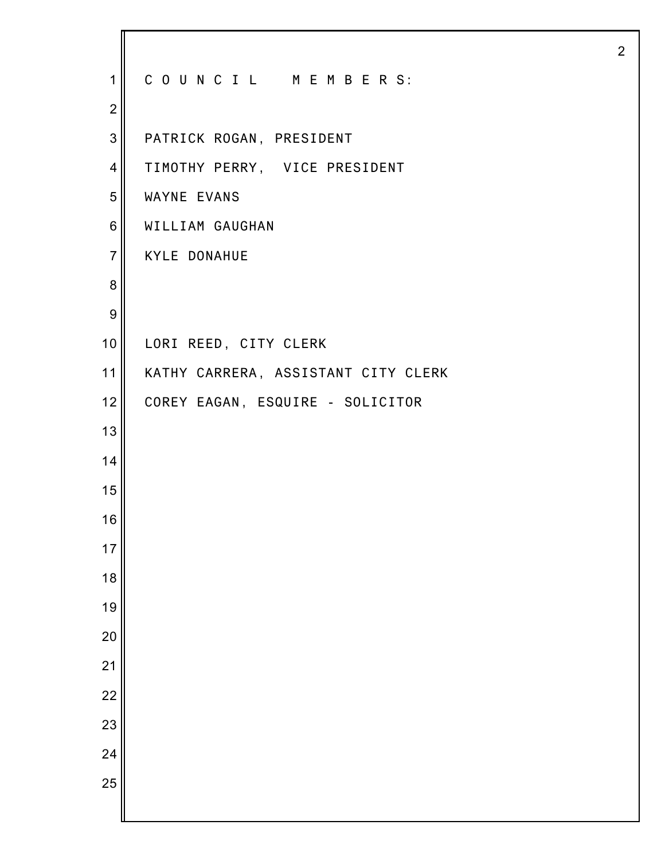| $\mathbf 1$      | COUNCIL MEMBERS:                    |
|------------------|-------------------------------------|
| $\overline{2}$   |                                     |
| 3                | PATRICK ROGAN, PRESIDENT            |
| $\overline{4}$   | TIMOTHY PERRY, VICE PRESIDENT       |
| 5                | WAYNE EVANS                         |
| 6                | WILLIAM GAUGHAN                     |
| $\overline{7}$   | <b>KYLE DONAHUE</b>                 |
| 8                |                                     |
| $\boldsymbol{9}$ |                                     |
| 10 <sub>1</sub>  | LORI REED, CITY CLERK               |
| 11               | KATHY CARRERA, ASSISTANT CITY CLERK |
| 12 <sub>2</sub>  | COREY EAGAN, ESQUIRE - SOLICITOR    |
| 13               |                                     |
| 14               |                                     |
| 15               |                                     |
| 16               |                                     |
| 17               |                                     |
| 18               |                                     |
| 19               |                                     |
| 20               |                                     |
| 21               |                                     |
| 22               |                                     |
| 23               |                                     |
| 24               |                                     |
| 25               |                                     |
|                  |                                     |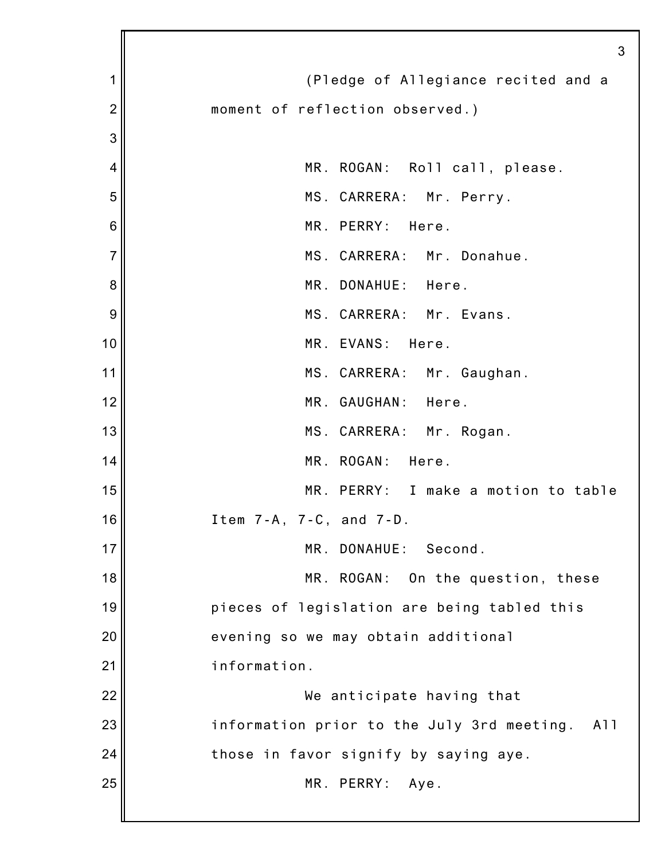|                | 3                                                 |
|----------------|---------------------------------------------------|
| 1              | (Pledge of Allegiance recited and a               |
| $\overline{c}$ | moment of reflection observed.)                   |
| 3              |                                                   |
| 4              | MR. ROGAN: Roll call, please.                     |
| 5              | MS. CARRERA: Mr. Perry.                           |
| 6              | MR. PERRY:<br>Here.                               |
| $\overline{7}$ | MS. CARRERA: Mr. Donahue.                         |
| 8              | MR. DONAHUE: Here.                                |
| 9              | MS. CARRERA: Mr. Evans.                           |
| 10             | MR. EVANS:<br>Here.                               |
| 11             | MS. CARRERA: Mr. Gaughan.                         |
| 12             | MR. GAUGHAN: Here.                                |
| 13             | MS. CARRERA: Mr. Rogan.                           |
| 14             | MR. ROGAN: Here.                                  |
| 15             | MR. PERRY: I make a motion to table               |
| 16             | Item 7-A, 7-C, and 7-D.                           |
| 17             | MR. DONAHUE:<br>Second.                           |
| 18             | MR. ROGAN:<br>On the question, these              |
| 19             | pieces of legislation are being tabled this       |
| 20             | evening so we may obtain additional               |
| 21             | information.                                      |
| 22             | We anticipate having that                         |
| 23             | information prior to the July 3rd meeting.<br>A11 |
| 24             | those in favor signify by saying aye.             |
| 25             | MR. PERRY: Aye.                                   |
|                |                                                   |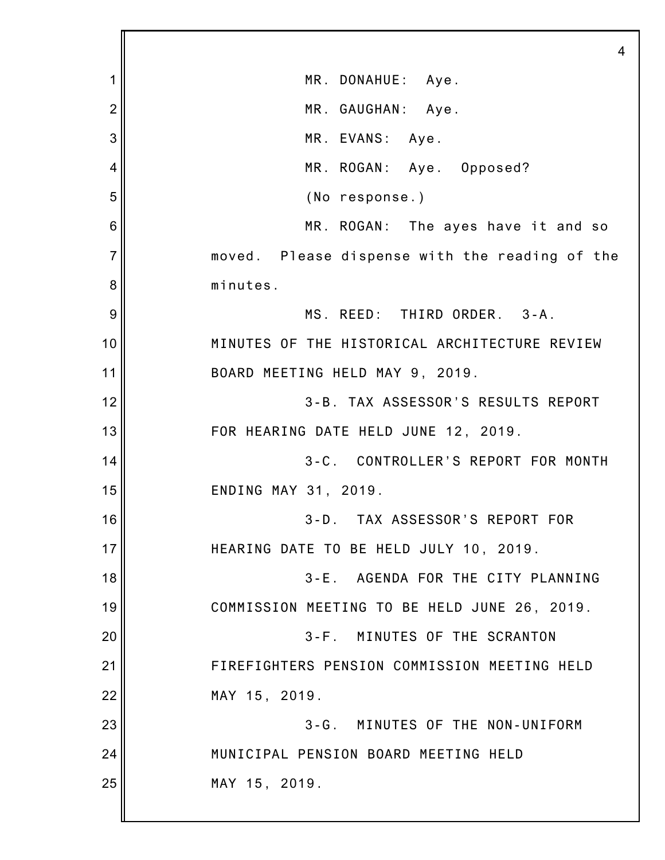1 2 3 4 5 6 7 8 9 10 11 12 13 14 15 16 17 18 19 20 21 22 23 24 25 4 MR. DONAHUE: Aye. MR. GAUGHAN: Aye. MR. EVANS: Aye. MR. ROGAN: Aye. Opposed? (No response.) MR. ROGAN: The ayes have it and so moved. Please dispense with the reading of the minutes. MS. REED: THIRD ORDER. 3-A. MINUTES OF THE HISTORICAL ARCHITECTURE REVIEW BOARD MEETING HELD MAY 9, 2019. 3-B. TAX ASSESSOR'S RESULTS REPORT FOR HEARING DATE HELD JUNE 12, 2019. 3-C. CONTROLLER'S REPORT FOR MONTH ENDING MAY 31, 2019. 3-D. TAX ASSESSOR'S REPORT FOR HEARING DATE TO BE HELD JULY 10, 2019. 3-E. AGENDA FOR THE CITY PLANNING COMMISSION MEETING TO BE HELD JUNE 26, 2019. 3-F. MINUTES OF THE SCRANTON FIREFIGHTERS PENSION COMMISSION MEETING HELD MAY 15, 2019. 3-G. MINUTES OF THE NON-UNIFORM MUNICIPAL PENSION BOARD MEETING HELD MAY 15, 2019.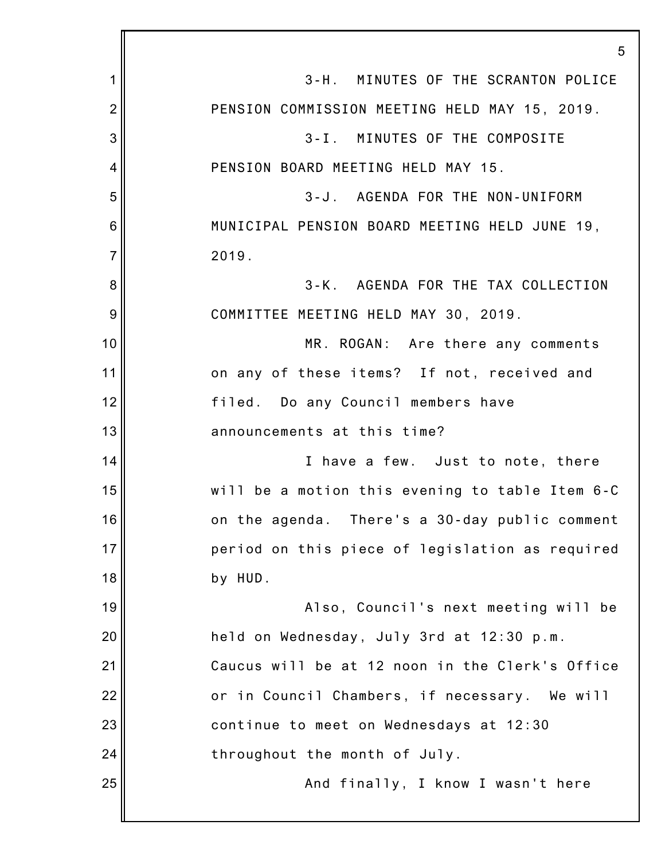|                | 5                                               |
|----------------|-------------------------------------------------|
| 1              | 3-H. MINUTES OF THE SCRANTON POLICE             |
| $\overline{2}$ | PENSION COMMISSION MEETING HELD MAY 15, 2019.   |
| 3              | 3-I. MINUTES OF THE COMPOSITE                   |
| 4              | PENSION BOARD MEETING HELD MAY 15.              |
| 5              | 3-J. AGENDA FOR THE NON-UNIFORM                 |
| 6              | MUNICIPAL PENSION BOARD MEETING HELD JUNE 19,   |
| $\overline{7}$ | 2019.                                           |
| 8              | 3-K. AGENDA FOR THE TAX COLLECTION              |
| 9              | COMMITTEE MEETING HELD MAY 30, 2019.            |
| 10             | MR. ROGAN: Are there any comments               |
| 11             | on any of these items? If not, received and     |
| 12             | filed. Do any Council members have              |
| 13             | announcements at this time?                     |
| 14             | I have a few. Just to note, there               |
| 15             | will be a motion this evening to table Item 6-C |
| 16             | on the agenda. There's a 30-day public comment  |
| 17             | period on this piece of legislation as required |
| 18             | by HUD.                                         |
| 19             | Also, Council's next meeting will be            |
| 20             | held on Wednesday, July 3rd at 12:30 p.m.       |
| 21             | Caucus will be at 12 noon in the Clerk's Office |
| 22             | or in Council Chambers, if necessary. We will   |
| 23             | continue to meet on Wednesdays at 12:30         |
| 24             | throughout the month of July.                   |
| 25             | And finally, I know I wasn't here               |
|                |                                                 |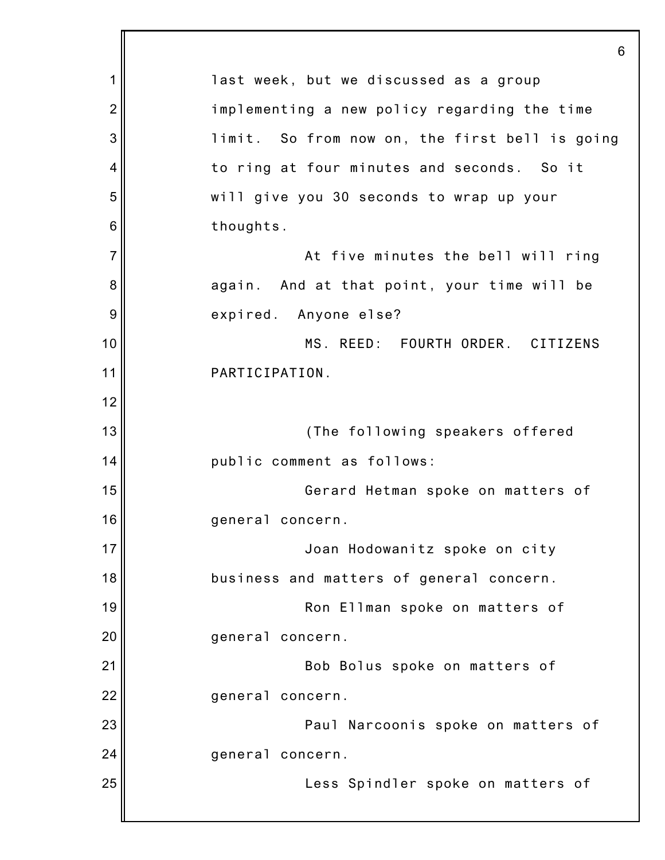|                | 6                                              |
|----------------|------------------------------------------------|
| 1              | last week, but we discussed as a group         |
| $\overline{2}$ | implementing a new policy regarding the time   |
| 3              | limit. So from now on, the first bell is going |
| 4              | to ring at four minutes and seconds. So it     |
| 5              | will give you 30 seconds to wrap up your       |
| 6              | thoughts.                                      |
| $\overline{7}$ | At five minutes the bell will ring             |
| 8              | again. And at that point, your time will be    |
| 9              | expired. Anyone else?                          |
| 10             | MS. REED: FOURTH ORDER. CITIZENS               |
| 11             | PARTICIPATION.                                 |
| 12             |                                                |
| 13             | (The following speakers offered                |
| 14             | public comment as follows:                     |
| 15             | Gerard Hetman spoke on matters of              |
| 16             | general concern.                               |
| 17             | Joan Hodowanitz spoke on city                  |
| 18             | business and matters of general concern.       |
| 19             | Ron Ellman spoke on matters of                 |
| 20             | general concern.                               |
| 21             | Bob Bolus spoke on matters of                  |
| 22             | general concern.                               |
| 23             | Paul Narcoonis spoke on matters of             |
| 24             | general concern.                               |
| 25             | Less Spindler spoke on matters of              |
|                |                                                |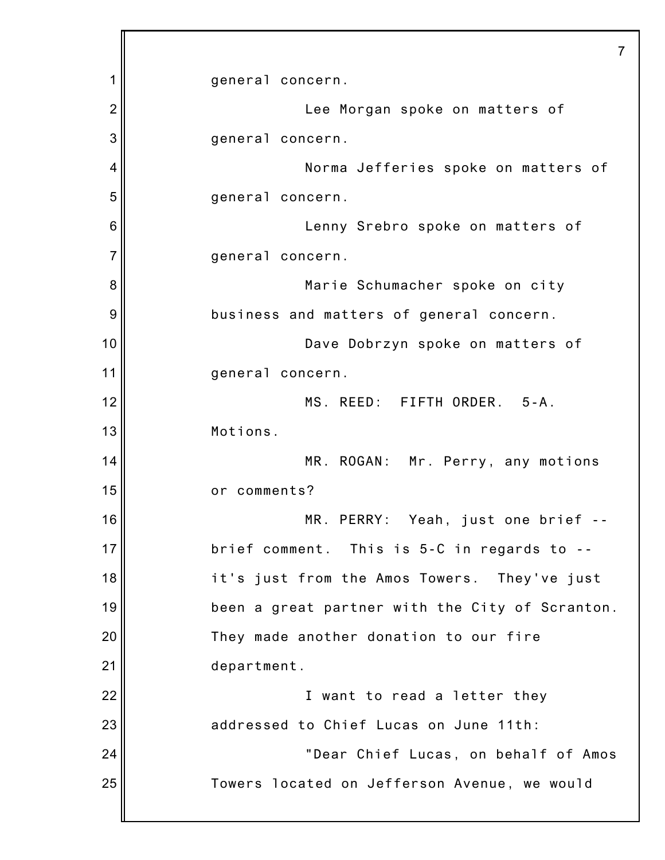|                | 7                                               |
|----------------|-------------------------------------------------|
| 1              | general concern.                                |
| $\overline{2}$ | Lee Morgan spoke on matters of                  |
| 3              | general concern.                                |
| 4              | Norma Jefferies spoke on matters of             |
| 5              | general concern.                                |
| 6              | Lenny Srebro spoke on matters of                |
| 7              | general concern.                                |
| 8              | Marie Schumacher spoke on city                  |
| 9              | business and matters of general concern.        |
| 10             | Dave Dobrzyn spoke on matters of                |
| 11             | general concern.                                |
| 12             | MS. REED: FIFTH ORDER. 5-A.                     |
| 13             | Motions.                                        |
| 14             | MR. ROGAN: Mr. Perry, any motions               |
| 15             | or comments?                                    |
| 16             | MR. PERRY: Yeah, just one brief --              |
| 17             | brief comment. This is 5-C in regards to --     |
| 18             | it's just from the Amos Towers. They've just    |
| 19             | been a great partner with the City of Scranton. |
| 20             | They made another donation to our fire          |
| 21             | department.                                     |
| 22             | I want to read a letter they                    |
| 23             | addressed to Chief Lucas on June 11th:          |
| 24             | "Dear Chief Lucas, on behalf of Amos            |
| 25             | Towers located on Jefferson Avenue, we would    |
|                |                                                 |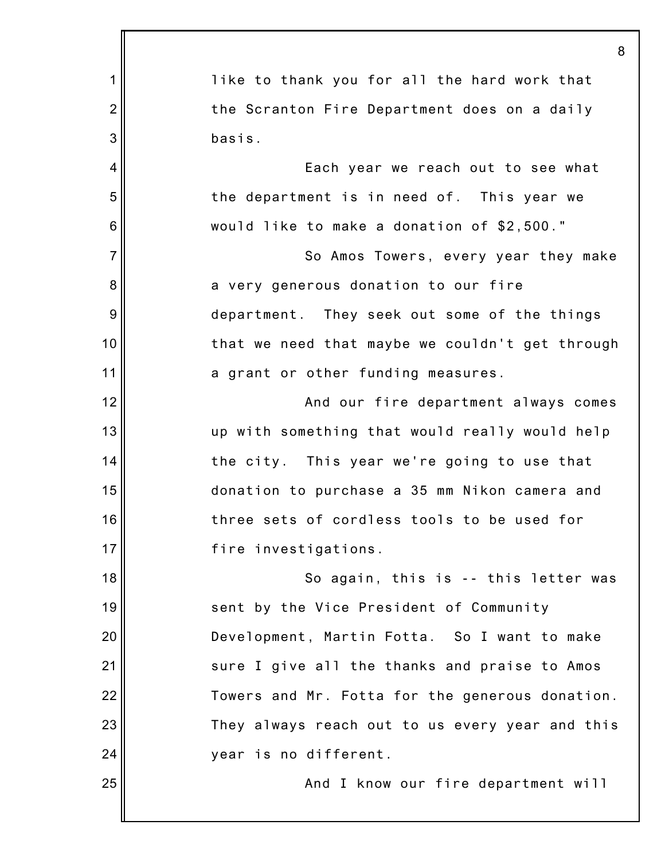|                | 8                                               |
|----------------|-------------------------------------------------|
| 1              | like to thank you for all the hard work that    |
| $\overline{2}$ | the Scranton Fire Department does on a daily    |
| 3              | basis.                                          |
| $\overline{4}$ | Each year we reach out to see what              |
| 5              | the department is in need of. This year we      |
| 6              | would like to make a donation of \$2,500."      |
| $\overline{7}$ | So Amos Towers, every year they make            |
| 8              | a very generous donation to our fire            |
| 9              | department. They seek out some of the things    |
| 10             | that we need that maybe we couldn't get through |
| 11             | a grant or other funding measures.              |
| 12             | And our fire department always comes            |
| 13             | up with something that would really would help  |
| 14             | the city. This year we're going to use that     |
| 15             | donation to purchase a 35 mm Nikon camera and   |
| 16             | three sets of cordless tools to be used for     |
| 17             | fire investigations.                            |
| 18             | So again, this is -- this letter was            |
| 19             | sent by the Vice President of Community         |
| 20             | Development, Martin Fotta. So I want to make    |
| 21             | sure I give all the thanks and praise to Amos   |
| 22             | Towers and Mr. Fotta for the generous donation. |
| 23             | They always reach out to us every year and this |
| 24             | year is no different.                           |
| 25             | And I know our fire department will             |
|                |                                                 |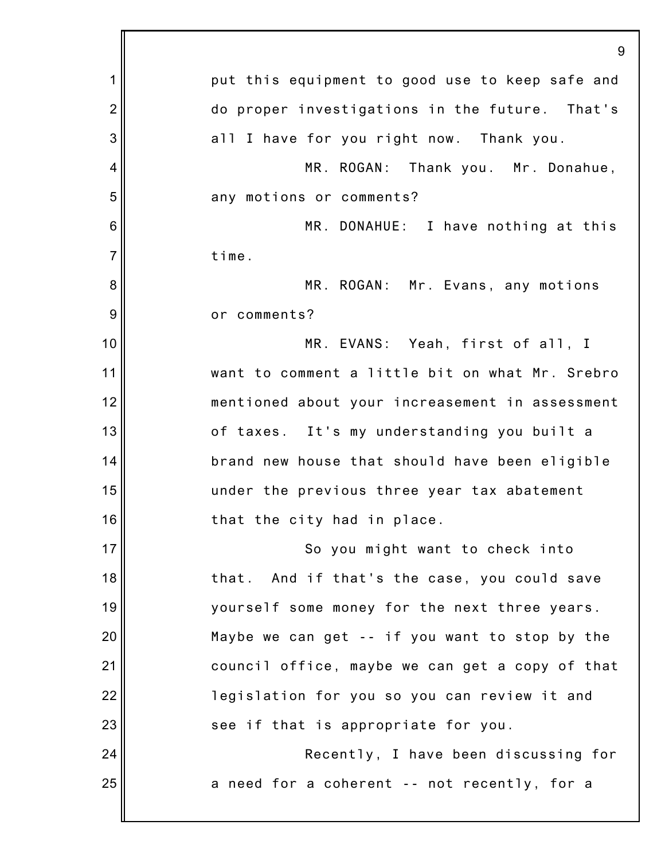|                | 9                                               |
|----------------|-------------------------------------------------|
| 1              | put this equipment to good use to keep safe and |
| $\overline{2}$ | do proper investigations in the future. That's  |
| 3              | all I have for you right now. Thank you.        |
| 4              | MR. ROGAN: Thank you. Mr. Donahue,              |
| 5              | any motions or comments?                        |
| 6              | MR. DONAHUE: I have nothing at this             |
| $\overline{7}$ | time.                                           |
| 8              | MR. ROGAN: Mr. Evans, any motions               |
| 9              | or comments?                                    |
| 10             | MR. EVANS: Yeah, first of all, I                |
| 11             | want to comment a little bit on what Mr. Srebro |
| 12             | mentioned about your increasement in assessment |
| 13             | of taxes. It's my understanding you built a     |
| 14             | brand new house that should have been eligible  |
| 15             | under the previous three year tax abatement     |
| 16             | that the city had in place.                     |
| 17             | So you might want to check into                 |
| 18             | that. And if that's the case, you could save    |
| 19             | yourself some money for the next three years.   |
| 20             | Maybe we can get -- if you want to stop by the  |
| 21             | council office, maybe we can get a copy of that |
| 22             | legislation for you so you can review it and    |
| 23             | see if that is appropriate for you.             |
| 24             | Recently, I have been discussing for            |
| 25             | a need for a coherent -- not recently, for a    |
|                |                                                 |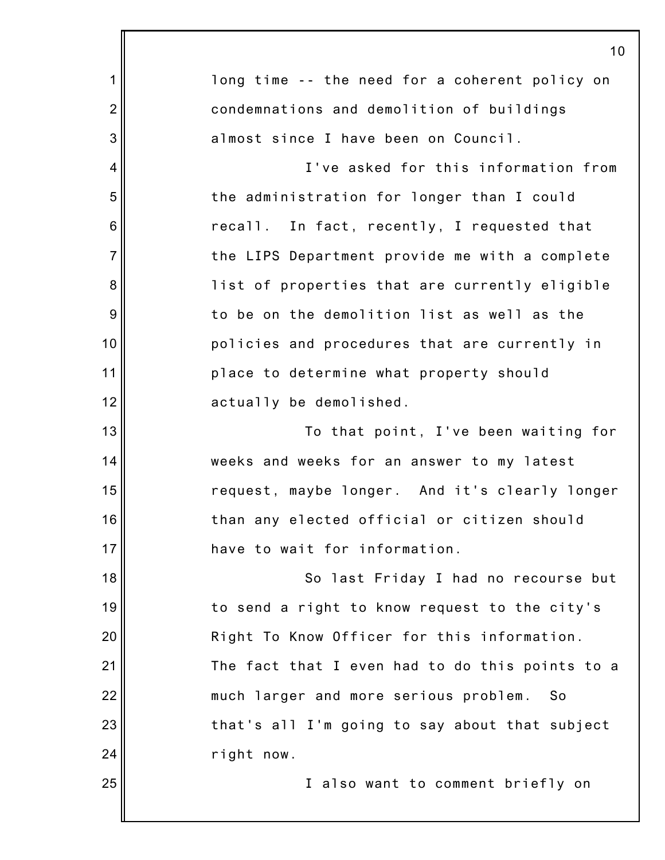|                | 10                                              |
|----------------|-------------------------------------------------|
| 1              | long time -- the need for a coherent policy on  |
| $\overline{2}$ | condemnations and demolition of buildings       |
| 3              | almost since I have been on Council.            |
| $\overline{4}$ | I've asked for this information from            |
| 5              | the administration for longer than I could      |
| 6              | recall. In fact, recently, I requested that     |
| $\overline{7}$ | the LIPS Department provide me with a complete  |
| 8              | list of properties that are currently eligible  |
| 9              | to be on the demolition list as well as the     |
| 10             | policies and procedures that are currently in   |
| 11             | place to determine what property should         |
| 12             | actually be demolished.                         |
| 13             | To that point, I've been waiting for            |
| 14             | weeks and weeks for an answer to my latest      |
| 15             | request, maybe longer. And it's clearly longer  |
| 16             | than any elected official or citizen should     |
| 17             | have to wait for information.                   |
| 18             | So last Friday I had no recourse but            |
| 19             | to send a right to know request to the city's   |
| 20             | Right To Know Officer for this information.     |
| 21             | The fact that I even had to do this points to a |
| 22             | much larger and more serious problem.<br>So     |
| 23             | that's all I'm going to say about that subject  |
| 24             | right now.                                      |
| 25             | I also want to comment briefly on               |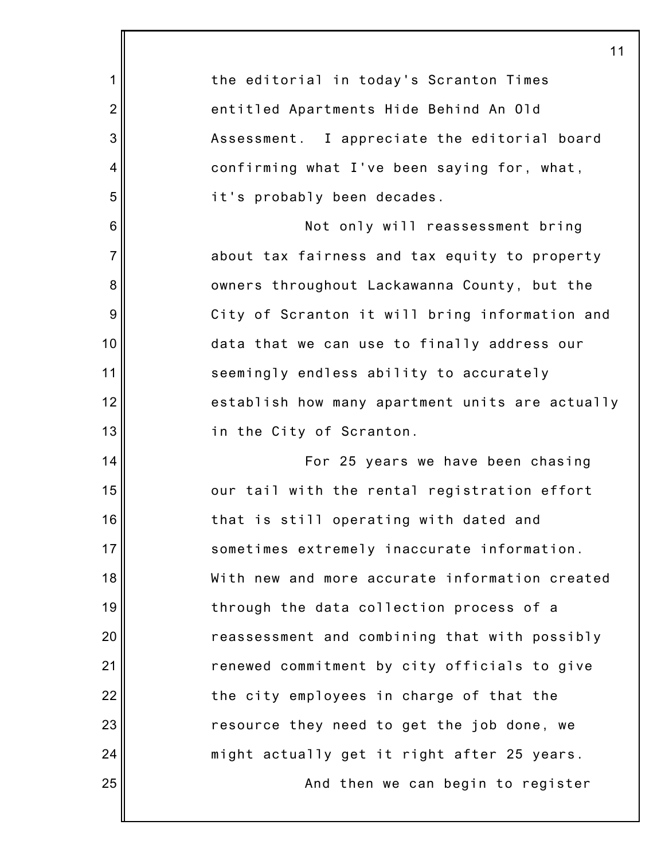|                 | 11                                              |
|-----------------|-------------------------------------------------|
| 1               | the editorial in today's Scranton Times         |
| $\overline{2}$  | entitled Apartments Hide Behind An Old          |
| 3               | Assessment. I appreciate the editorial board    |
| 4               | confirming what I've been saying for, what,     |
| 5               | it's probably been decades.                     |
| $6\phantom{1}6$ | Not only will reassessment bring                |
| $\overline{7}$  | about tax fairness and tax equity to property   |
| 8               | owners throughout Lackawanna County, but the    |
| $\overline{9}$  | City of Scranton it will bring information and  |
| 10              | data that we can use to finally address our     |
| 11              | seemingly endless ability to accurately         |
| 12              | establish how many apartment units are actually |
| 13              | in the City of Scranton.                        |
| 14              | For 25 years we have been chasing               |
| 15              | our tail with the rental registration effort    |
| 16              | that is still operating with dated and          |
| 17              | sometimes extremely inaccurate information.     |
| 18              | With new and more accurate information created  |
| 19              | through the data collection process of a        |
| 20              | reassessment and combining that with possibly   |
| 21              | renewed commitment by city officials to give    |
| 22              | the city employees in charge of that the        |
| 23              | resource they need to get the job done, we      |
| 24              | might actually get it right after 25 years.     |
| 25              | And then we can begin to register               |
|                 |                                                 |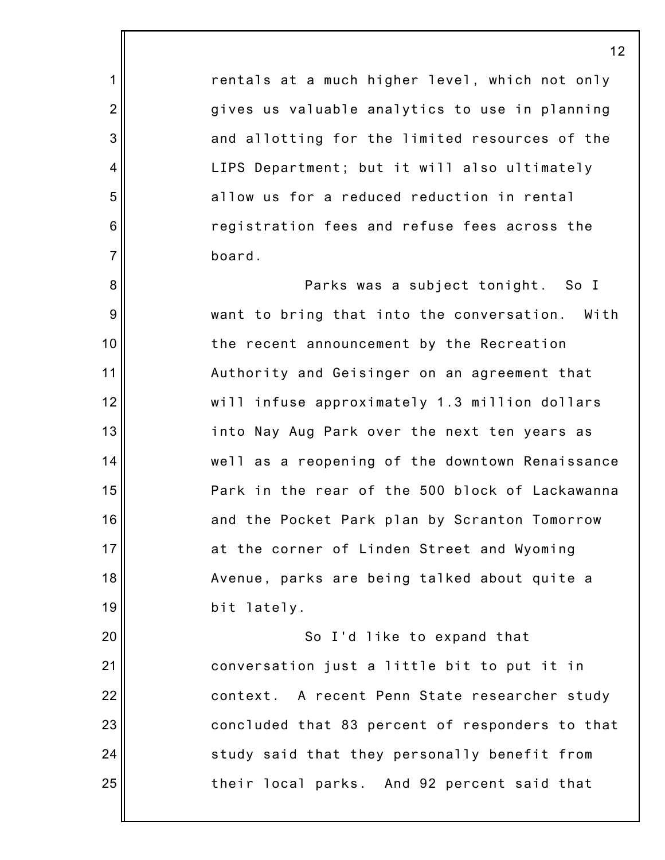rentals at a much higher level, which not only gives us valuable analytics to use in planning and allotting for the limited resources of the LIPS Department; but it will also ultimately allow us for a reduced reduction in rental registration fees and refuse fees across the board.

1

2

3

4

5

6

7

8

9

10

11

12

13

14

15

16

17

18

19

20

21

22

23

24

25

Parks was a subject tonight. So I want to bring that into the conversation. With the recent announcement by the Recreation Authority and Geisinger on an agreement that will infuse approximately 1.3 million dollars into Nay Aug Park over the next ten years as well as a reopening of the downtown Renaissance Park in the rear of the 500 block of Lackawanna and the Pocket Park plan by Scranton Tomorrow at the corner of Linden Street and Wyoming Avenue, parks are being talked about quite a bit lately.

So I'd like to expand that conversation just a little bit to put it in context. A recent Penn State researcher study concluded that 83 percent of responders to that study said that they personally benefit from their local parks. And 92 percent said that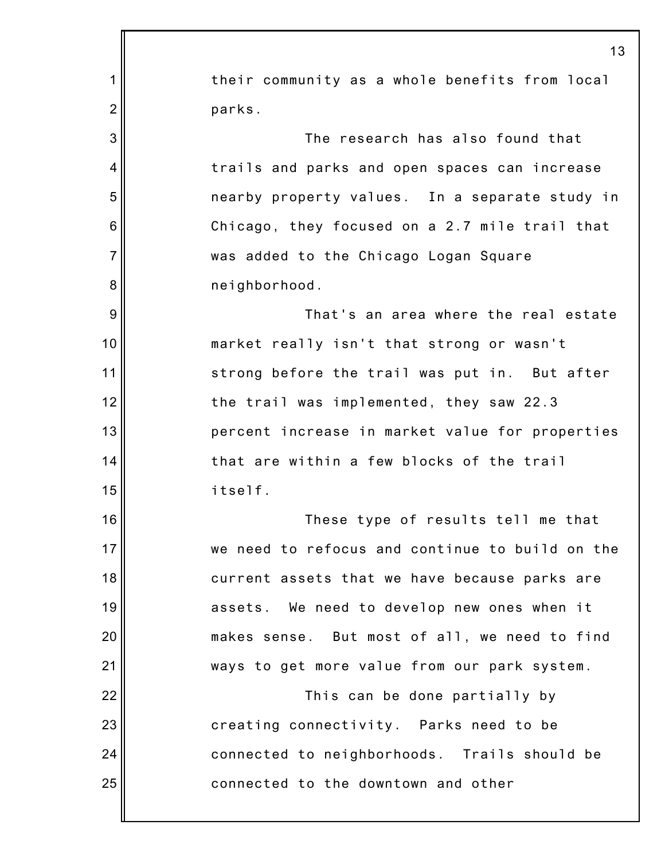|                | 13                                              |
|----------------|-------------------------------------------------|
| 1              | their community as a whole benefits from local  |
| $\overline{2}$ | parks.                                          |
| 3              | The research has also found that                |
| 4              | trails and parks and open spaces can increase   |
| 5              | nearby property values. In a separate study in  |
| 6              | Chicago, they focused on a 2.7 mile trail that  |
| $\overline{7}$ | was added to the Chicago Logan Square           |
| 8              | neighborhood.                                   |
| 9              | That's an area where the real estate            |
| 10             | market really isn't that strong or wasn't       |
| 11             | strong before the trail was put in. But after   |
| 12             | the trail was implemented, they saw 22.3        |
| 13             | percent increase in market value for properties |
| 14             | that are within a few blocks of the trail       |
| 15             | itself.                                         |
| 16             | These type of results tell me that              |
| 17             | we need to refocus and continue to build on the |
| 18             | current assets that we have because parks are   |
| 19             | assets. We need to develop new ones when it     |
| 20             | makes sense. But most of all, we need to find   |
| 21             | ways to get more value from our park system.    |
| 22             | This can be done partially by                   |
| 23             | creating connectivity. Parks need to be         |
| 24             | connected to neighborhoods. Trails should be    |
| 25             | connected to the downtown and other             |
|                |                                                 |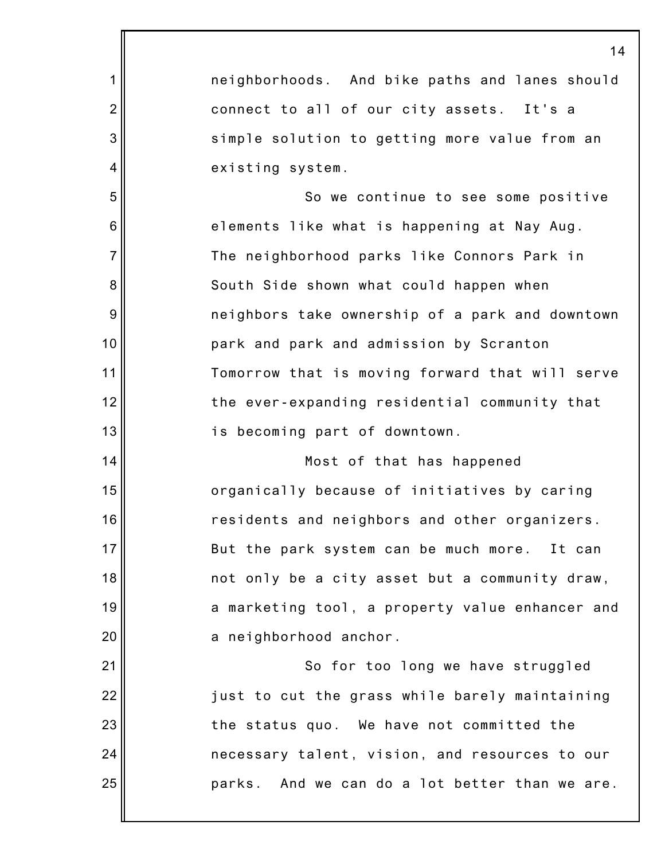1 2 3 4 5 6 7 8 9 10 11 12 13 14 15 16 17 18 19 20 21 22 23 24 25 14 neighborhoods. And bike paths and lanes should connect to all of our city assets. It's a simple solution to getting more value from an existing system. So we continue to see some positive elements like what is happening at Nay Aug. The neighborhood parks like Connors Park in South Side shown what could happen when neighbors take ownership of a park and downtown park and park and admission by Scranton Tomorrow that is moving forward that will serve the ever-expanding residential community that is becoming part of downtown. Most of that has happened organically because of initiatives by caring residents and neighbors and other organizers. But the park system can be much more. It can not only be a city asset but a community draw, a marketing tool, a property value enhancer and a neighborhood anchor. So for too long we have struggled just to cut the grass while barely maintaining the status quo. We have not committed the necessary talent, vision, and resources to our parks. And we can do a lot better than we are.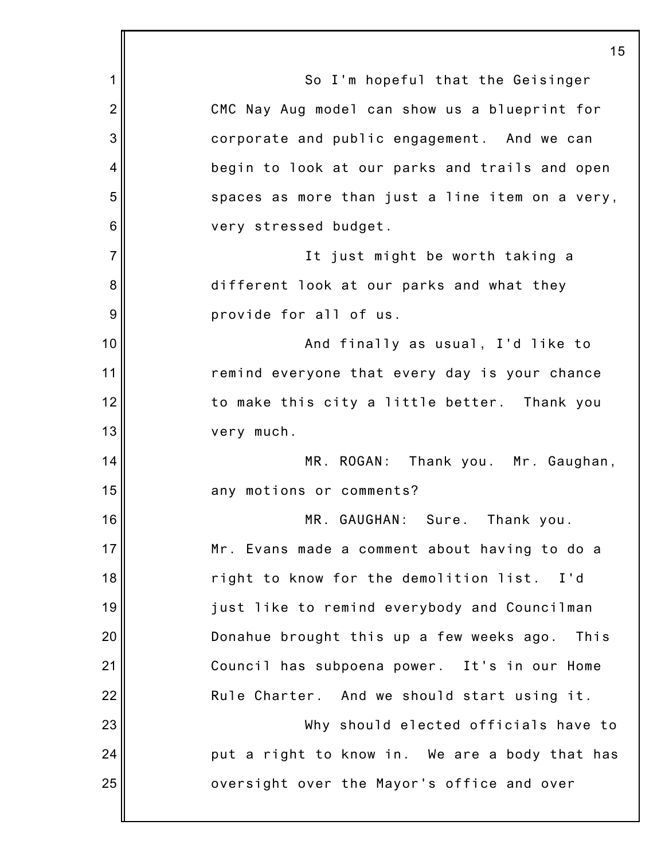1 2 3 4 5 6 7 8 9 10 11 12 13 14 15 16 17 18 19 20 21 22 23 24 25 15 So I'm hopeful that the Geisinger CMC Nay Aug model can show us a blueprint for corporate and public engagement. And we can begin to look at our parks and trails and open spaces as more than just a line item on a very, very stressed budget. It just might be worth taking a different look at our parks and what they provide for all of us. And finally as usual, I'd like to remind everyone that every day is your chance to make this city a little better. Thank you very much. MR. ROGAN: Thank you. Mr. Gaughan, any motions or comments? MR. GAUGHAN: Sure. Thank you. Mr. Evans made a comment about having to do a right to know for the demolition list. I'd just like to remind everybody and Councilman Donahue brought this up a few weeks ago. This Council has subpoena power. It's in our Home Rule Charter. And we should start using it. Why should elected officials have to put a right to know in. We are a body that has oversight over the Mayor's office and over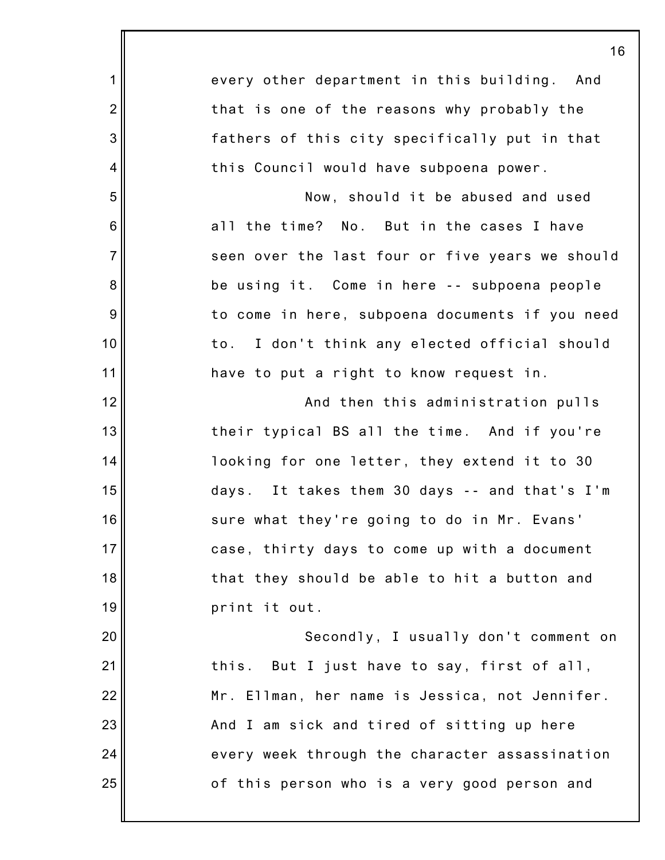|                | 16                                              |
|----------------|-------------------------------------------------|
| $\mathbf 1$    | every other department in this building. And    |
| $\overline{2}$ | that is one of the reasons why probably the     |
| 3              | fathers of this city specifically put in that   |
| $\overline{4}$ | this Council would have subpoena power.         |
| 5              | Now, should it be abused and used               |
| 6              | all the time? No. But in the cases I have       |
| $\overline{7}$ | seen over the last four or five years we should |
| 8              | be using it. Come in here -- subpoena people    |
| 9              | to come in here, subpoena documents if you need |
| 10             | to. I don't think any elected official should   |
| 11             | have to put a right to know request in.         |
| 12             | And then this administration pulls              |
| 13             | their typical BS all the time. And if you're    |
| 14             | looking for one letter, they extend it to 30    |
| 15             | days. It takes them 30 days -- and that's I'm   |
| 16             | sure what they're going to do in Mr. Evans      |
| 17             | case, thirty days to come up with a document    |
| 18             | that they should be able to hit a button and    |
| 19             | print it out.                                   |
| 20             | Secondly, I usually don't comment on            |
| 21             | this. But I just have to say, first of all,     |
| 22             | Mr. Ellman, her name is Jessica, not Jennifer.  |
| 23             | And I am sick and tired of sitting up here      |
| 24             | every week through the character assassination  |
| 25             | of this person who is a very good person and    |
|                |                                                 |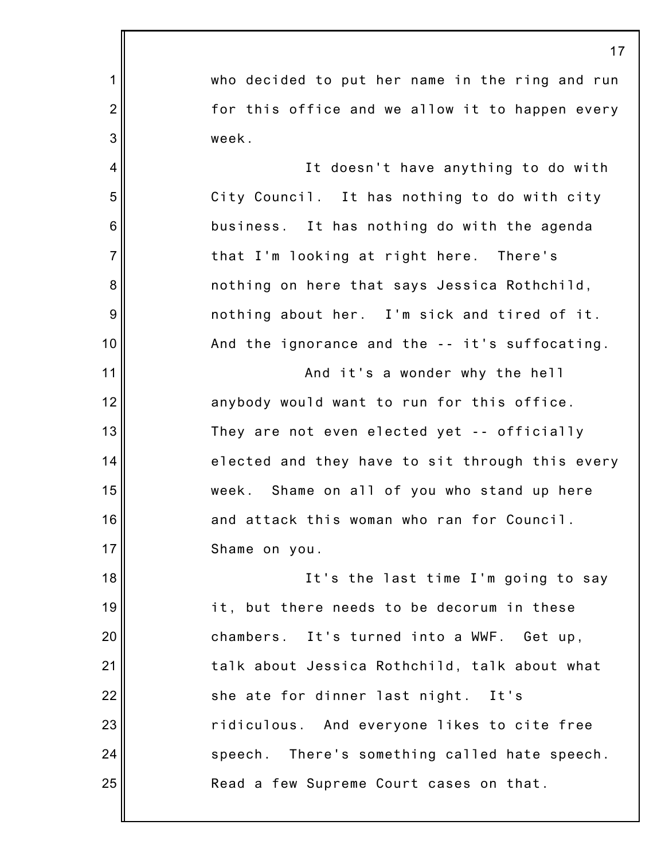1 2 3 4 5 6 7 8 9 10 11 12 13 14 15 16 17 18 19 20 21 22 23 24 25 17 who decided to put her name in the ring and run for this office and we allow it to happen every week. It doesn't have anything to do with City Council. It has nothing to do with city business. It has nothing do with the agenda that I'm looking at right here. There's nothing on here that says Jessica Rothchild, nothing about her. I'm sick and tired of it. And the ignorance and the -- it's suffocating. And it's a wonder why the hell anybody would want to run for this office. They are not even elected yet -- officially elected and they have to sit through this every week. Shame on all of you who stand up here and attack this woman who ran for Council. Shame on you. It's the last time I'm going to say it, but there needs to be decorum in these chambers. It's turned into a WWF. Get up, talk about Jessica Rothchild, talk about what she ate for dinner last night. It's ridiculous. And everyone likes to cite free speech. There's something called hate speech. Read a few Supreme Court cases on that.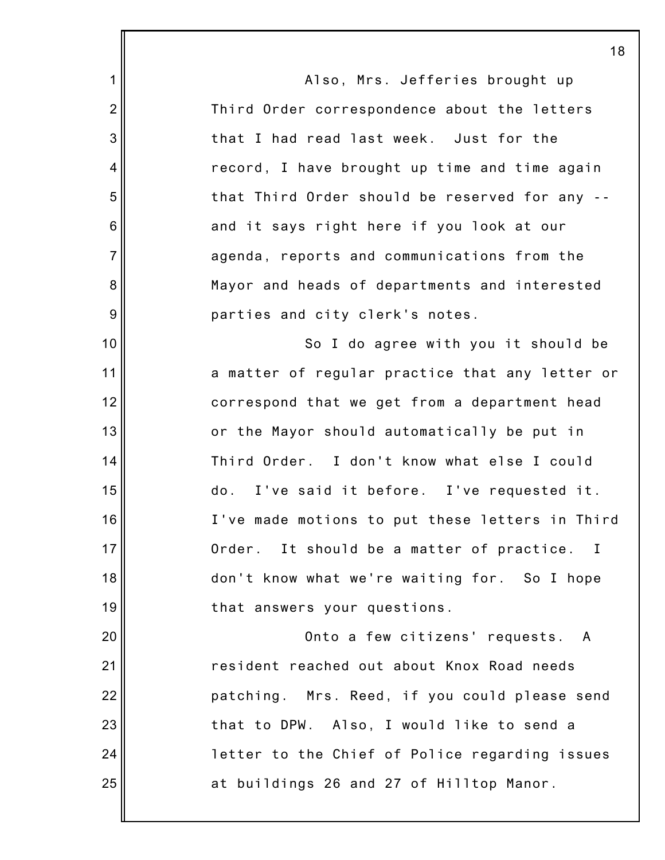1 2 3 4 5 6 7 8 9 10 11 12 13 14 15 16 17 18 19 20 21 22 23 24 25 Also, Mrs. Jefferies brought up Third Order correspondence about the letters that I had read last week. Just for the record, I have brought up time and time again that Third Order should be reserved for any - and it says right here if you look at our agenda, reports and communications from the Mayor and heads of departments and interested parties and city clerk's notes. So I do agree with you it should be a matter of regular practice that any letter or correspond that we get from a department head or the Mayor should automatically be put in Third Order. I don't know what else I could do. I've said it before. I've requested it. I've made motions to put these letters in Third Order. It should be a matter of practice. I don't know what we're waiting for. So I hope that answers your questions. Onto a few citizens' requests. A resident reached out about Knox Road needs patching. Mrs. Reed, if you could please send that to DPW. Also, I would like to send a letter to the Chief of Police regarding issues at buildings 26 and 27 of Hilltop Manor.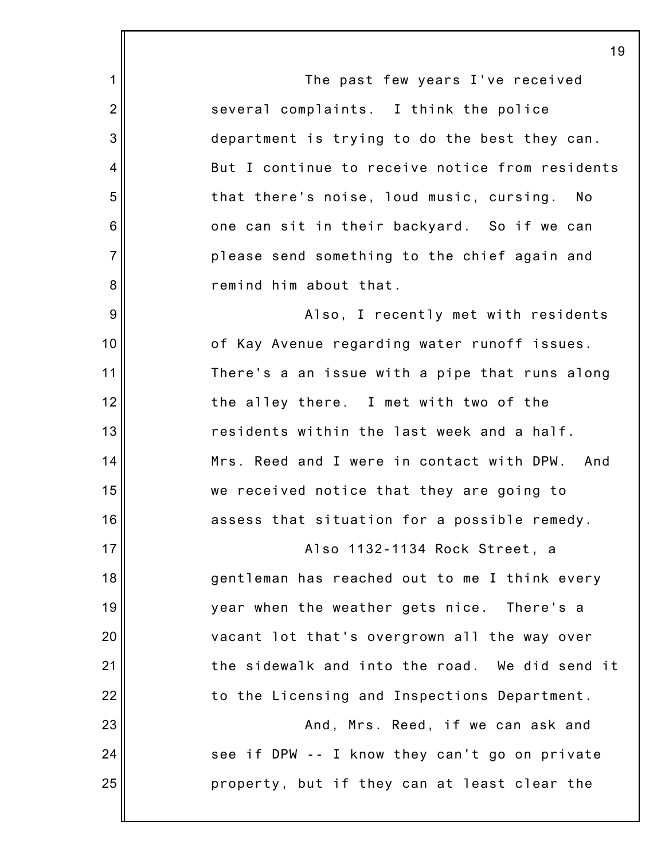1 2 3 4 5 6 7 8 9 10 11 12 13 14 15 16 17 18 19 20 21 22 23 24 25 The past few years I've received several complaints. I think the police department is trying to do the best they can. But I continue to receive notice from residents that there's noise, loud music, cursing. No one can sit in their backyard. So if we can please send something to the chief again and remind him about that. Also, I recently met with residents of Kay Avenue regarding water runoff issues. There's a an issue with a pipe that runs along the alley there. I met with two of the residents within the last week and a half. Mrs. Reed and I were in contact with DPW. And we received notice that they are going to assess that situation for a possible remedy. Also 1132-1134 Rock Street, a gentleman has reached out to me I think every year when the weather gets nice. There's a vacant lot that's overgrown all the way over the sidewalk and into the road. We did send it to the Licensing and Inspections Department. And, Mrs. Reed, if we can ask and see if DPW -- I know they can't go on private property, but if they can at least clear the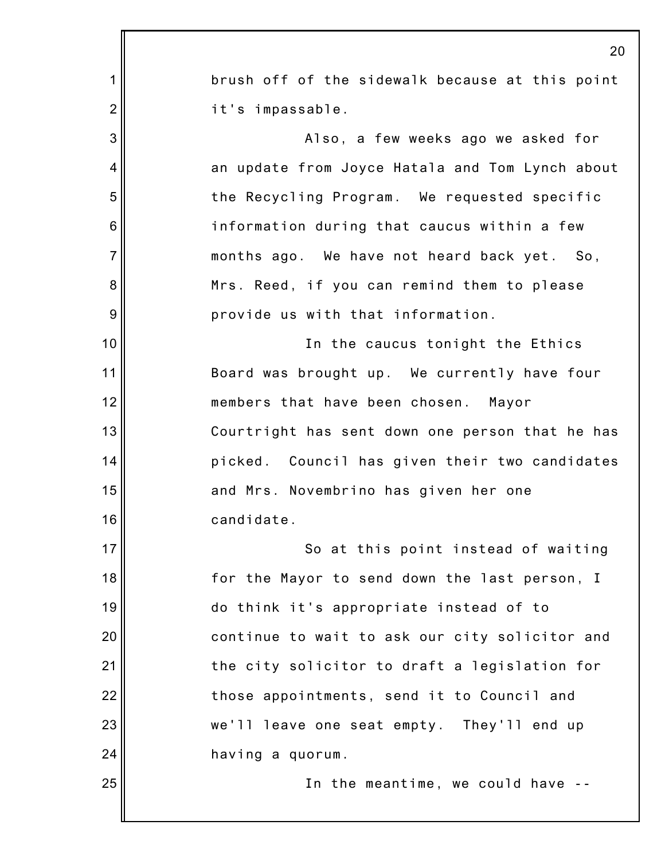|                 | 20                                              |
|-----------------|-------------------------------------------------|
| 1               | brush off of the sidewalk because at this point |
| $\overline{2}$  | it's impassable.                                |
| 3               | Also, a few weeks ago we asked for              |
| 4               | an update from Joyce Hatala and Tom Lynch about |
| 5               | the Recycling Program. We requested specific    |
| $6\phantom{1}6$ | information during that caucus within a few     |
| $\overline{7}$  | months ago. We have not heard back yet. So,     |
| 8               | Mrs. Reed, if you can remind them to please     |
| $\overline{9}$  | provide us with that information.               |
| 10              | In the caucus tonight the Ethics                |
| 11              | Board was brought up. We currently have four    |
| 12              | members that have been chosen. Mayor            |
| 13              | Courtright has sent down one person that he has |
| 14              | picked. Council has given their two candidates  |
| 15              | and Mrs. Novembrino has given her one           |
| 16              | candidate.                                      |
| 17              | So at this point instead of waiting             |
| 18              | for the Mayor to send down the last person, I   |
| 19              | do think it's appropriate instead of to         |
| 20              | continue to wait to ask our city solicitor and  |
| 21              | the city solicitor to draft a legislation for   |
| 22              | those appointments, send it to Council and      |
| 23              | we'll leave one seat empty. They'll end up      |
| 24              | having a quorum.                                |
| 25              | In the meantime, we could have --               |
|                 |                                                 |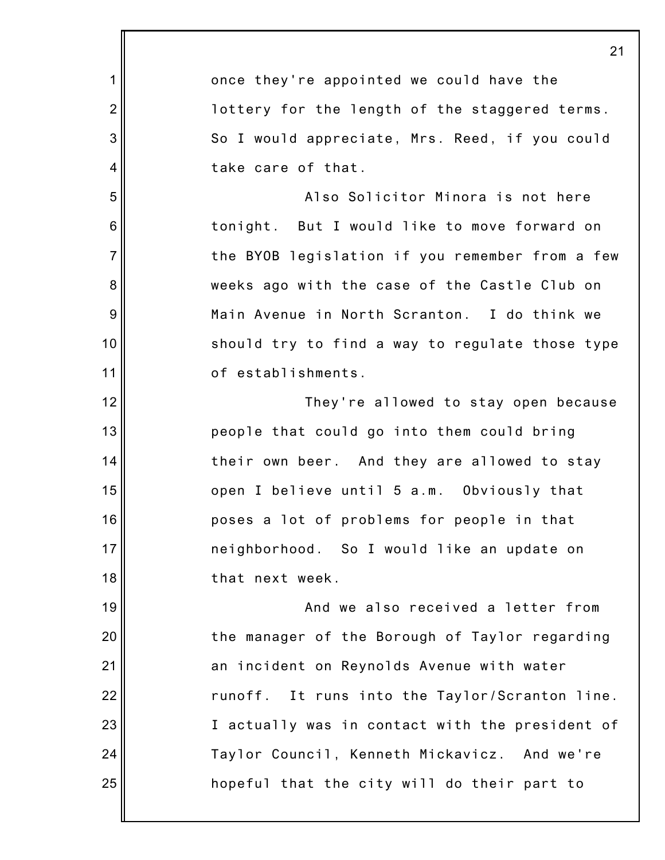|                 | 21                                              |
|-----------------|-------------------------------------------------|
| 1               | once they're appointed we could have the        |
| $\overline{2}$  | lottery for the length of the staggered terms.  |
| 3               | So I would appreciate, Mrs. Reed, if you could  |
| 4               | take care of that.                              |
| 5               | Also Solicitor Minora is not here               |
| $6\phantom{1}6$ | tonight. But I would like to move forward on    |
| $\overline{7}$  | the BYOB legislation if you remember from a few |
| 8               | weeks ago with the case of the Castle Club on   |
| 9               | Main Avenue in North Scranton. I do think we    |
| 10              | should try to find a way to regulate those type |
| 11              | of establishments.                              |
| 12              | They're allowed to stay open because            |
| 13              | people that could go into them could bring      |
| 14              | their own beer. And they are allowed to stay    |
| 15              | open I believe until 5 a.m. Obviously that      |
| 16              | poses a lot of problems for people in that      |
| 17              | neighborhood. So I would like an update on      |
| 18              | that next week.                                 |
| 19              | And we also received a letter from              |
| 20              | the manager of the Borough of Taylor regarding  |
| 21              | an incident on Reynolds Avenue with water       |
| 22              | runoff. It runs into the Taylor/Scranton line.  |
| 23              | I actually was in contact with the president of |
| 24              | Taylor Council, Kenneth Mickavicz. And we're    |
| 25              | hopeful that the city will do their part to     |
|                 |                                                 |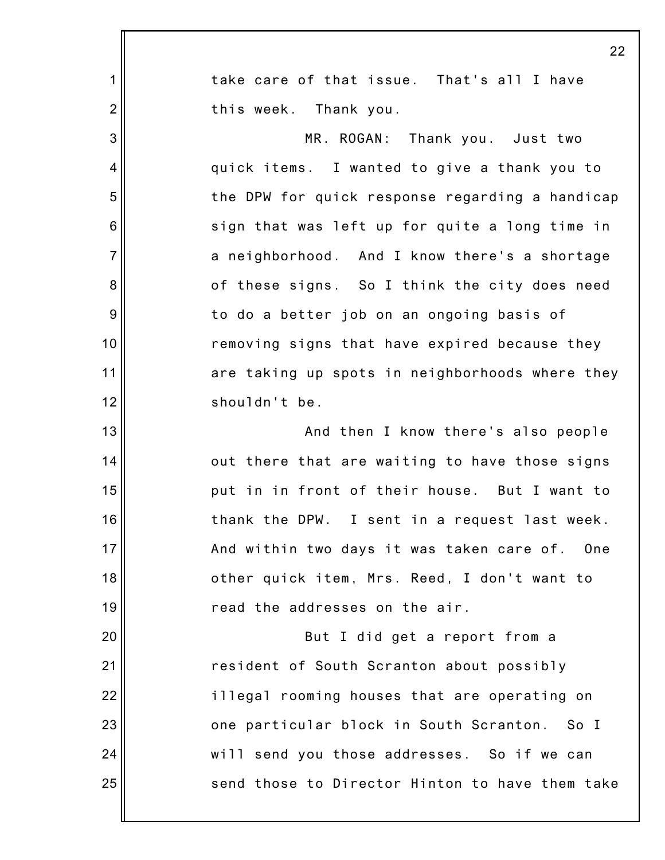|                 | 22                                               |
|-----------------|--------------------------------------------------|
| 1               | take care of that issue. That's all I have       |
| $\overline{2}$  | this week. Thank you.                            |
| 3               | MR. ROGAN: Thank you. Just two                   |
| 4               | quick items. I wanted to give a thank you to     |
| 5               | the DPW for quick response regarding a handicap  |
| $6\phantom{1}6$ | sign that was left up for quite a long time in   |
| $\overline{7}$  | a neighborhood. And I know there's a shortage    |
| 8               | of these signs. So I think the city does need    |
| $\overline{9}$  | to do a better job on an ongoing basis of        |
| 10              | removing signs that have expired because they    |
| 11              | are taking up spots in neighborhoods where they  |
| 12              | shouldn't be.                                    |
| 13              | And then I know there's also people              |
| 14              | out there that are waiting to have those signs   |
| 15              | put in in front of their house. But I want to    |
| 16              | thank the DPW. I sent in a request last week.    |
| 17              | And within two days it was taken care of.<br>One |
| 18              | other quick item, Mrs. Reed, I don't want to     |
| 19              | read the addresses on the air.                   |
| 20              | But I did get a report from a                    |
| 21              | resident of South Scranton about possibly        |
| 22              | illegal rooming houses that are operating on     |
| 23              | one particular block in South Scranton. So I     |
| 24              | will send you those addresses. So if we can      |
| 25              | send those to Director Hinton to have them take  |
|                 |                                                  |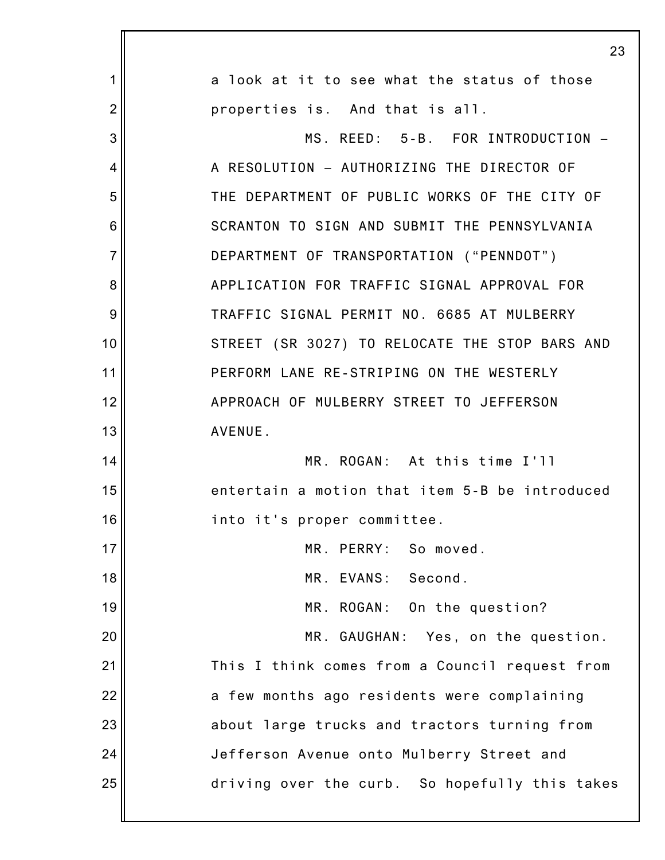|                | 23                                             |
|----------------|------------------------------------------------|
| 1              | a look at it to see what the status of those   |
| $\overline{2}$ | properties is. And that is all.                |
| 3              | MS. REED: 5-B. FOR INTRODUCTION -              |
| 4              | A RESOLUTION - AUTHORIZING THE DIRECTOR OF     |
| 5              | THE DEPARTMENT OF PUBLIC WORKS OF THE CITY OF  |
| 6              | SCRANTON TO SIGN AND SUBMIT THE PENNSYLVANIA   |
| $\overline{7}$ | DEPARTMENT OF TRANSPORTATION ("PENNDOT")       |
| 8              | APPLICATION FOR TRAFFIC SIGNAL APPROVAL FOR    |
| 9              | TRAFFIC SIGNAL PERMIT NO. 6685 AT MULBERRY     |
| 10             | STREET (SR 3027) TO RELOCATE THE STOP BARS AND |
| 11             | PERFORM LANE RE-STRIPING ON THE WESTERLY       |
| 12             | APPROACH OF MULBERRY STREET TO JEFFERSON       |
| 13             | AVENUE.                                        |
| 14             | MR. ROGAN: At this time I'll                   |
| 15             | entertain a motion that item 5-B be introduced |
| 16             | into it's proper committee.                    |
| 17             | MR. PERRY: So moved.                           |
| 18             | MR. EVANS: Second.                             |
| 19             | MR. ROGAN: On the question?                    |
| 20             | MR. GAUGHAN: Yes, on the question.             |
| 21             | This I think comes from a Council request from |
| 22             | a few months ago residents were complaining    |
| 23             | about large trucks and tractors turning from   |
| 24             | Jefferson Avenue onto Mulberry Street and      |
| 25             | driving over the curb. So hopefully this takes |
|                |                                                |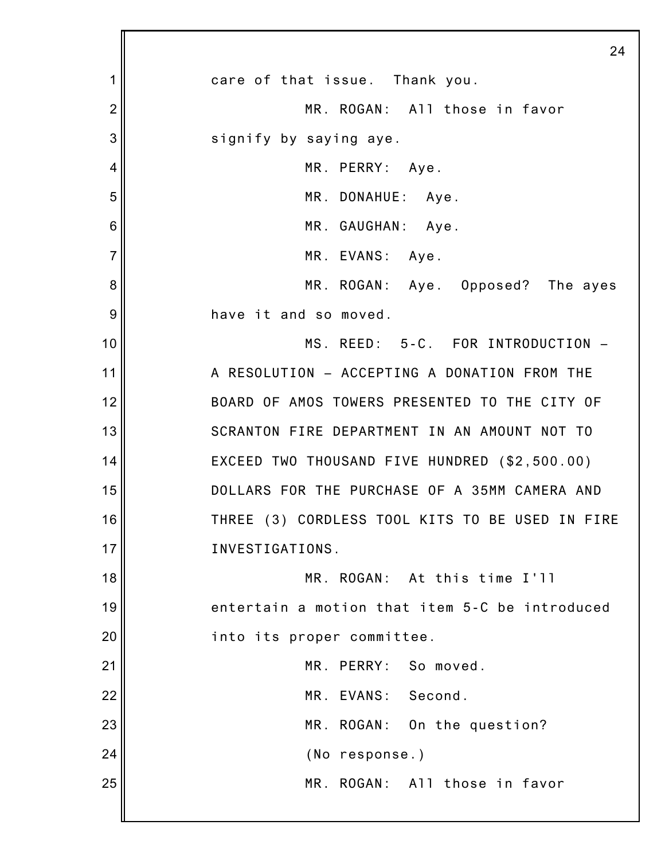|                | 24                                              |
|----------------|-------------------------------------------------|
| 1              | care of that issue. Thank you.                  |
| $\overline{2}$ | MR. ROGAN: All those in favor                   |
| 3              | signify by saying aye.                          |
| 4              | MR. PERRY: Aye.                                 |
| 5              | MR. DONAHUE: Aye.                               |
| 6              | MR. GAUGHAN: Aye.                               |
| $\overline{7}$ | MR. EVANS: Aye.                                 |
| 8              | MR. ROGAN: Aye. Opposed? The ayes               |
| 9              | have it and so moved.                           |
| 10             | MS. REED: 5-C. FOR INTRODUCTION -               |
| 11             | A RESOLUTION - ACCEPTING A DONATION FROM THE    |
| 12             | BOARD OF AMOS TOWERS PRESENTED TO THE CITY OF   |
| 13             | SCRANTON FIRE DEPARTMENT IN AN AMOUNT NOT TO    |
| 14             | EXCEED TWO THOUSAND FIVE HUNDRED (\$2,500.00)   |
| 15             | DOLLARS FOR THE PURCHASE OF A 35MM CAMERA AND   |
| 16             | THREE (3) CORDLESS TOOL KITS TO BE USED IN FIRE |
| 17             | INVESTIGATIONS.                                 |
| 18             | MR. ROGAN: At this time I'll                    |
| 19             | entertain a motion that item 5-C be introduced  |
| 20             | into its proper committee.                      |
| 21             | MR. PERRY: So moved.                            |
| 22             | MR. EVANS: Second.                              |
| 23             | MR. ROGAN: On the question?                     |
| 24             | (No response.)                                  |
| 25             | MR. ROGAN: All those in favor                   |
|                |                                                 |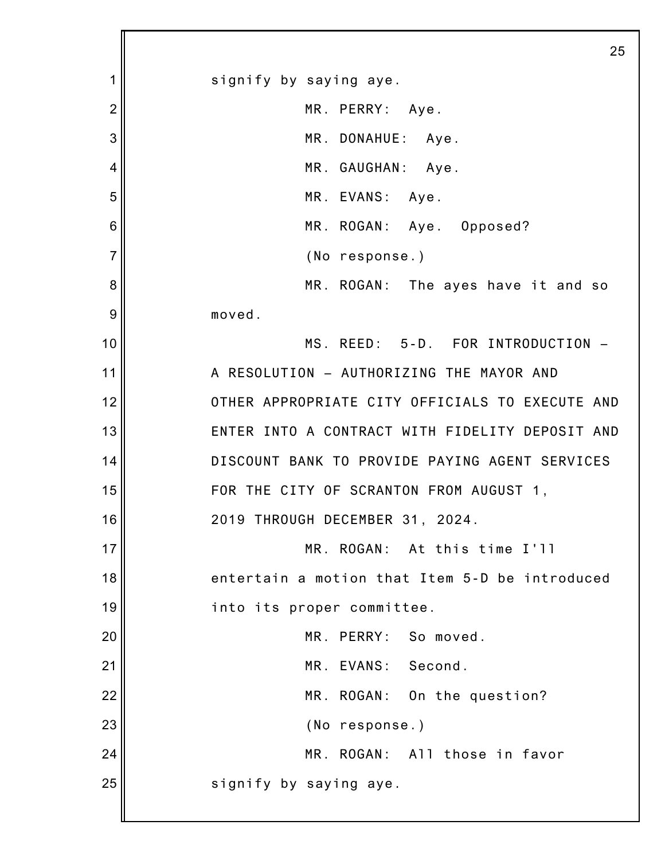1 2 3 4 5 6 7 8 9 10 11 12 13 14 15 16 17 18 19 20 21 22 23 24 25 25 signify by saying aye. MR. PERRY: Aye. MR. DONAHUE: Aye. MR. GAUGHAN: Aye. MR. EVANS: Aye. MR. ROGAN: Aye. Opposed? (No response.) MR. ROGAN: The ayes have it and so moved. MS. REED: 5-D. FOR INTRODUCTION – A RESOLUTION – AUTHORIZING THE MAYOR AND OTHER APPROPRIATE CITY OFFICIALS TO EXECUTE AND ENTER INTO A CONTRACT WITH FIDELITY DEPOSIT AND DISCOUNT BANK TO PROVIDE PAYING AGENT SERVICES FOR THE CITY OF SCRANTON FROM AUGUST 1, 2019 THROUGH DECEMBER 31, 2024. MR. ROGAN: At this time I'll entertain a motion that Item 5-D be introduced into its proper committee. MR. PERRY: So moved. MR. EVANS: Second. MR. ROGAN: On the question? (No response.) MR. ROGAN: All those in favor signify by saying aye.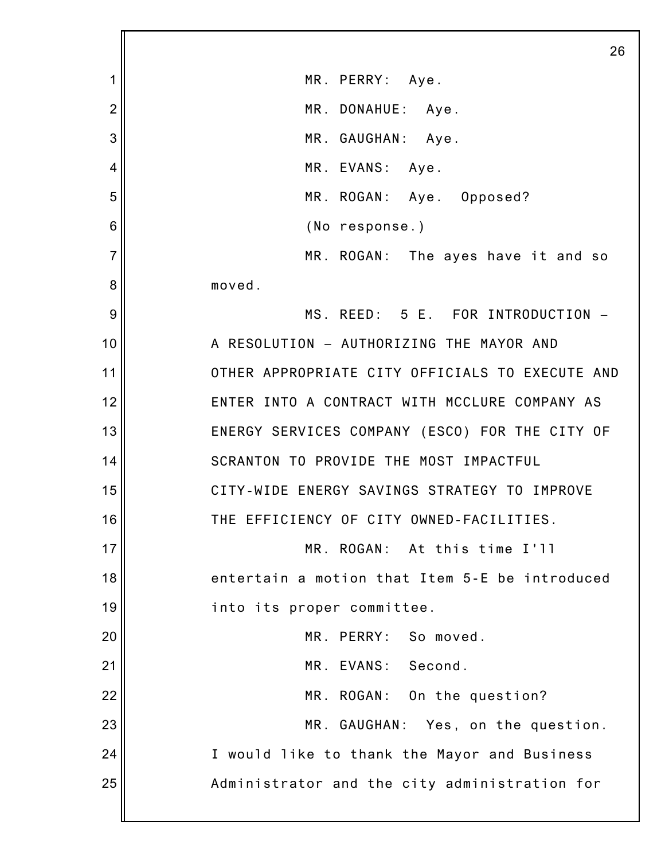|                | 26                                              |
|----------------|-------------------------------------------------|
| 1              | MR. PERRY: Aye.                                 |
| $\overline{2}$ | MR. DONAHUE: Aye.                               |
| 3              | MR. GAUGHAN: Aye.                               |
| 4              | MR. EVANS: Aye.                                 |
| 5              | MR. ROGAN: Aye. Opposed?                        |
| 6              | (No response.)                                  |
| $\overline{7}$ | MR. ROGAN: The ayes have it and so              |
| 8              | moved.                                          |
| 9              | MS. REED: 5 E. FOR INTRODUCTION -               |
| 10             | A RESOLUTION - AUTHORIZING THE MAYOR AND        |
| 11             | OTHER APPROPRIATE CITY OFFICIALS TO EXECUTE AND |
| 12             | ENTER INTO A CONTRACT WITH MCCLURE COMPANY AS   |
| 13             | ENERGY SERVICES COMPANY (ESCO) FOR THE CITY OF  |
| 14             | SCRANTON TO PROVIDE THE MOST IMPACTFUL          |
| 15             | CITY-WIDE ENERGY SAVINGS STRATEGY TO IMPROVE    |
| 16             | THE EFFICIENCY OF CITY OWNED-FACILITIES.        |
| 17             | MR. ROGAN: At this time I'll                    |
| 18             | entertain a motion that Item 5-E be introduced  |
| 19             | into its proper committee.                      |
| 20             | MR. PERRY: So moved.                            |
| 21             | MR. EVANS: Second.                              |
| 22             | MR. ROGAN: On the question?                     |
| 23             | MR. GAUGHAN: Yes, on the question.              |
| 24             | I would like to thank the Mayor and Business    |
| 25             | Administrator and the city administration for   |
|                |                                                 |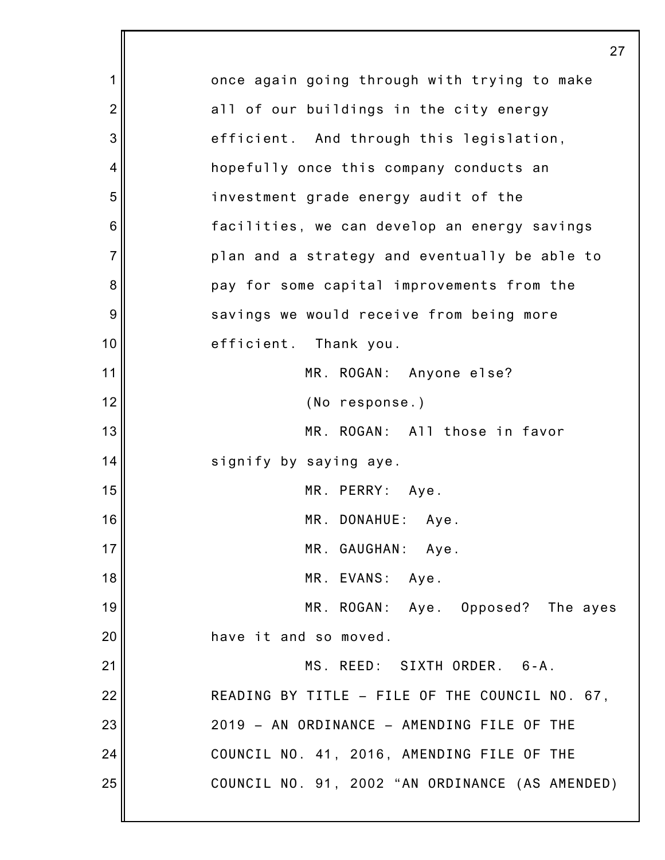|                | 27                                              |
|----------------|-------------------------------------------------|
| 1              | once again going through with trying to make    |
| $\overline{2}$ | all of our buildings in the city energy         |
| 3              | efficient. And through this legislation,        |
| 4              | hopefully once this company conducts an         |
| 5              | investment grade energy audit of the            |
| 6              | facilities, we can develop an energy savings    |
| $\overline{7}$ | plan and a strategy and eventually be able to   |
| 8              | pay for some capital improvements from the      |
| 9              | savings we would receive from being more        |
| 10             | efficient. Thank you.                           |
| 11             | MR. ROGAN: Anyone else?                         |
| 12             | (No response.)                                  |
| 13             | MR. ROGAN: All those in favor                   |
| 14             | signify by saying aye.                          |
| 15             | MR. PERRY: Aye.                                 |
| 16             | MR. DONAHUE: Aye.                               |
| 17             | MR. GAUGHAN: Aye.                               |
| 18             | MR. EVANS: Aye.                                 |
| 19             | MR. ROGAN: Aye. Opposed? The ayes               |
| 20             | have it and so moved.                           |
| 21             | MS. REED: SIXTH ORDER. 6-A.                     |
| 22             | READING BY TITLE - FILE OF THE COUNCIL NO. 67,  |
| 23             | 2019 - AN ORDINANCE - AMENDING FILE OF THE      |
| 24             | COUNCIL NO. 41, 2016, AMENDING FILE OF THE      |
| 25             | COUNCIL NO. 91, 2002 "AN ORDINANCE (AS AMENDED) |
|                |                                                 |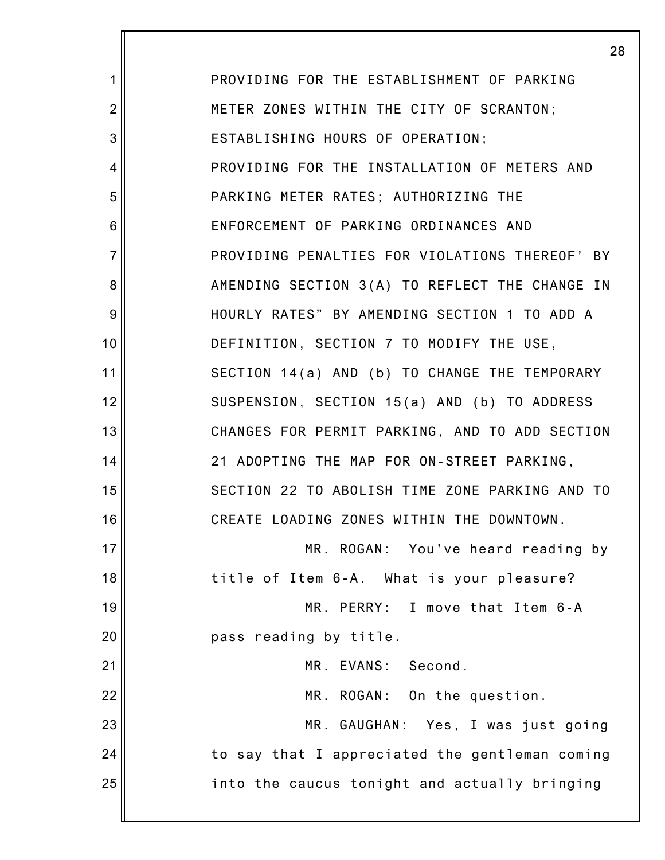|                | 28                                             |
|----------------|------------------------------------------------|
| 1              | PROVIDING FOR THE ESTABLISHMENT OF PARKING     |
| $\overline{2}$ | METER ZONES WITHIN THE CITY OF SCRANTON;       |
| 3              | ESTABLISHING HOURS OF OPERATION;               |
| 4              | PROVIDING FOR THE INSTALLATION OF METERS AND   |
| 5              | PARKING METER RATES; AUTHORIZING THE           |
| 6              | ENFORCEMENT OF PARKING ORDINANCES AND          |
| $\overline{7}$ | PROVIDING PENALTIES FOR VIOLATIONS THEREOF' BY |
| 8              | AMENDING SECTION 3(A) TO REFLECT THE CHANGE IN |
| 9              | HOURLY RATES" BY AMENDING SECTION 1 TO ADD A   |
| 10             | DEFINITION, SECTION 7 TO MODIFY THE USE,       |
| 11             | SECTION 14(a) AND (b) TO CHANGE THE TEMPORARY  |
| 12             | SUSPENSION, SECTION 15(a) AND (b) TO ADDRESS   |
| 13             | CHANGES FOR PERMIT PARKING, AND TO ADD SECTION |
| 14             | 21 ADOPTING THE MAP FOR ON-STREET PARKING,     |
| 15             | SECTION 22 TO ABOLISH TIME ZONE PARKING AND TO |
| 16             | CREATE LOADING ZONES WITHIN THE DOWNTOWN.      |
| 17             | MR. ROGAN: You've heard reading by             |
| 18             | title of Item 6-A. What is your pleasure?      |
| 19             | MR. PERRY: I move that Item 6-A                |
| 20             | pass reading by title.                         |
| 21             | Second.<br>MR. EVANS:                          |
| 22             | MR. ROGAN: On the question.                    |
| 23             | MR. GAUGHAN: Yes, I was just going             |
| 24             | to say that I appreciated the gentleman coming |
| 25             | into the caucus tonight and actually bringing  |
|                |                                                |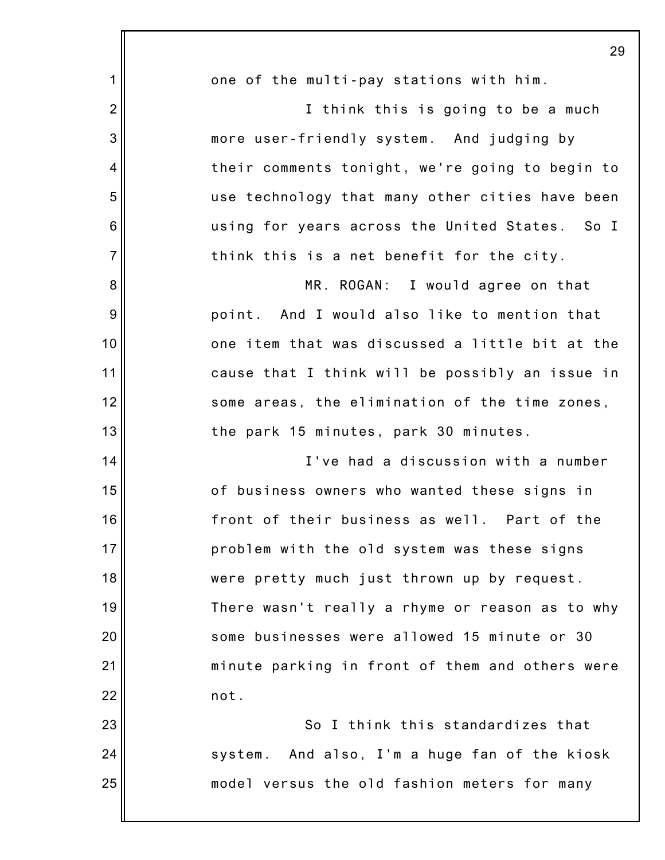|                 | 29                                              |
|-----------------|-------------------------------------------------|
| 1               | one of the multi-pay stations with him.         |
| $\overline{2}$  | I think this is going to be a much              |
| 3               | more user-friendly system. And judging by       |
| 4               | their comments tonight, we're going to begin to |
| 5               | use technology that many other cities have been |
| $6\phantom{1}6$ | using for years across the United States. So I  |
| $\overline{7}$  | think this is a net benefit for the city.       |
| 8               | MR. ROGAN: I would agree on that                |
| $\overline{9}$  | point. And I would also like to mention that    |
| 10              | one item that was discussed a little bit at the |
| 11              | cause that I think will be possibly an issue in |
| 12              | some areas, the elimination of the time zones,  |
| 13              | the park 15 minutes, park 30 minutes.           |
| 14              | I've had a discussion with a number             |
| 15              | of business owners who wanted these signs in    |
| 16              | front of their business as well. Part of the    |
| 17              | problem with the old system was these signs     |
| 18              | were pretty much just thrown up by request.     |
| 19              | There wasn't really a rhyme or reason as to why |
| 20              | some businesses were allowed 15 minute or 30    |
| 21              | minute parking in front of them and others were |
| 22              | not.                                            |
| 23              | So I think this standardizes that               |
| 24              | system. And also, I'm a huge fan of the kiosk   |
| 25              | model versus the old fashion meters for many    |
|                 |                                                 |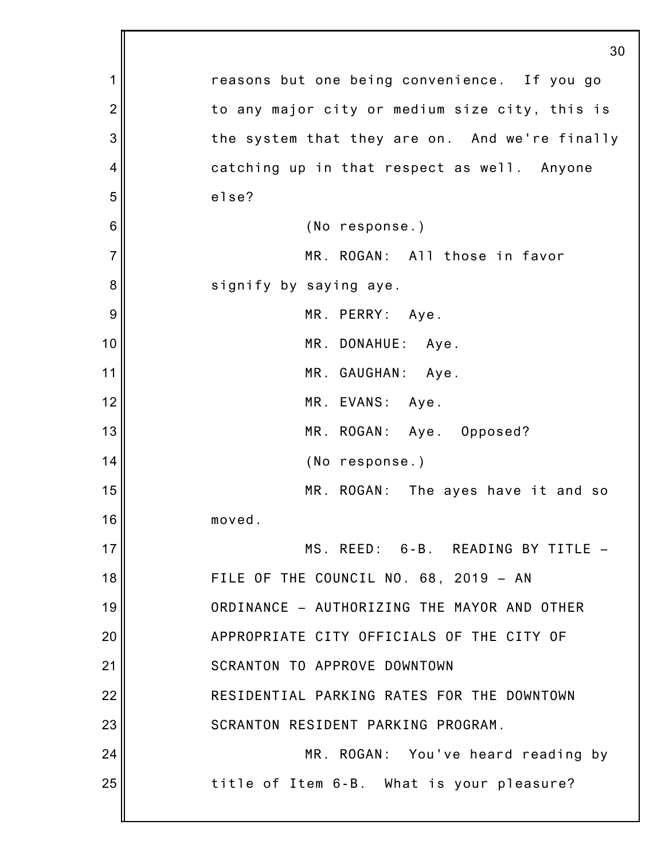|                | 30                                             |
|----------------|------------------------------------------------|
| 1              | reasons but one being convenience. If you go   |
| $\overline{2}$ | to any major city or medium size city, this is |
| 3              | the system that they are on. And we're finally |
| 4              | catching up in that respect as well. Anyone    |
| 5              | else?                                          |
| 6              | (No response.)                                 |
| $\overline{7}$ | MR. ROGAN: All those in favor                  |
| 8              | signify by saying aye.                         |
| 9              | MR. PERRY: Aye.                                |
| 10             | MR. DONAHUE: Aye.                              |
| 11             | MR. GAUGHAN: Aye.                              |
| 12             | MR. EVANS: Aye.                                |
| 13             | MR. ROGAN: Aye. Opposed?                       |
| 14             | (No response.)                                 |
| 15             | MR. ROGAN: The ayes have it and so             |
| 16             | moved.                                         |
| 17             | MS. REED: 6-B. READING BY TITLE -              |
| 18             | FILE OF THE COUNCIL NO. 68, 2019 - AN          |
| 19             | ORDINANCE - AUTHORIZING THE MAYOR AND OTHER    |
| 20             | APPROPRIATE CITY OFFICIALS OF THE CITY OF      |
| 21             | SCRANTON TO APPROVE DOWNTOWN                   |
| 22             | RESIDENTIAL PARKING RATES FOR THE DOWNTOWN     |
| 23             | SCRANTON RESIDENT PARKING PROGRAM.             |
| 24             | MR. ROGAN: You've heard reading by             |
| 25             | title of Item 6-B. What is your pleasure?      |
|                |                                                |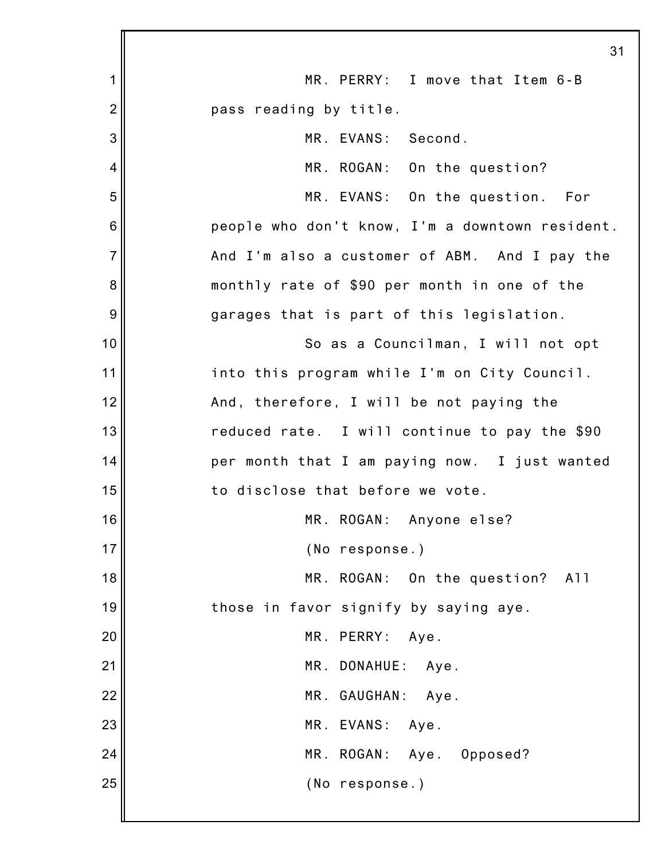|                 | 31                                              |
|-----------------|-------------------------------------------------|
| 1               | MR. PERRY: I move that Item 6-B                 |
| $\overline{2}$  | pass reading by title.                          |
| 3               | MR. EVANS: Second.                              |
| 4               | MR. ROGAN: On the question?                     |
| 5               | MR. EVANS: On the question. For                 |
| $6\phantom{1}6$ | people who don't know, I'm a downtown resident. |
| $\overline{7}$  | And I'm also a customer of ABM. And I pay the   |
| 8               | monthly rate of \$90 per month in one of the    |
| 9               | garages that is part of this legislation.       |
| 10              | So as a Councilman, I will not opt              |
| 11              | into this program while I'm on City Council.    |
| 12              | And, therefore, I will be not paying the        |
| 13              | reduced rate. I will continue to pay the \$90   |
| 14              | per month that I am paying now. I just wanted   |
| 15              | to disclose that before we vote.                |
| 16              | MR. ROGAN: Anyone else?                         |
| 17              | (No response.)                                  |
| 18              | MR. ROGAN:<br>On the question?<br>A11           |
| 19              | those in favor signify by saying aye.           |
| 20              | MR. PERRY:<br>Aye.                              |
| 21              | MR. DONAHUE: Aye.                               |
| 22              | MR. GAUGHAN:<br>Aye.                            |
| 23              | MR. EVANS:<br>Aye.                              |
| 24              | MR. ROGAN: Aye. Opposed?                        |
| 25              | (No response.)                                  |
|                 |                                                 |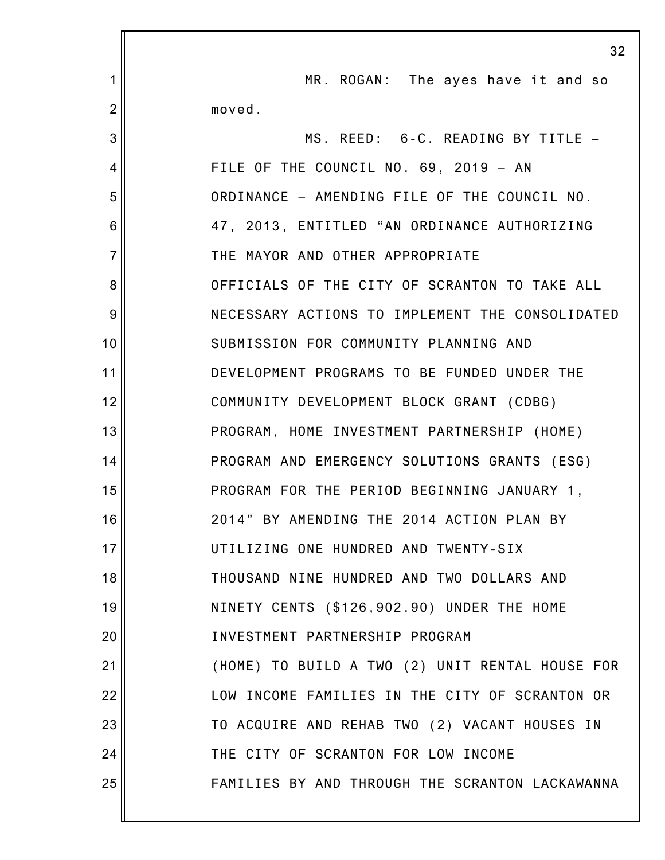|                | 32                                              |
|----------------|-------------------------------------------------|
| 1              | MR. ROGAN: The ayes have it and so              |
| $\overline{2}$ | moved.                                          |
| 3              | MS. REED: 6-C. READING BY TITLE -               |
| 4              | FILE OF THE COUNCIL NO. 69, 2019 - AN           |
| 5              | ORDINANCE - AMENDING FILE OF THE COUNCIL NO.    |
| 6              | 47, 2013, ENTITLED "AN ORDINANCE AUTHORIZING    |
| $\overline{7}$ | THE MAYOR AND OTHER APPROPRIATE                 |
| 8              | OFFICIALS OF THE CITY OF SCRANTON TO TAKE ALL   |
| 9              | NECESSARY ACTIONS TO IMPLEMENT THE CONSOLIDATED |
| 10             | SUBMISSION FOR COMMUNITY PLANNING AND           |
| 11             | DEVELOPMENT PROGRAMS TO BE FUNDED UNDER THE     |
| 12             | COMMUNITY DEVELOPMENT BLOCK GRANT (CDBG)        |
| 13             | PROGRAM, HOME INVESTMENT PARTNERSHIP (HOME)     |
| 14             | PROGRAM AND EMERGENCY SOLUTIONS GRANTS (ESG)    |
| 15             | PROGRAM FOR THE PERIOD BEGINNING JANUARY 1,     |
| 16             | 2014" BY AMENDING THE 2014 ACTION PLAN BY       |
| 17             | UTILIZING ONE HUNDRED AND TWENTY-SIX            |
| 18             | THOUSAND NINE HUNDRED AND TWO DOLLARS AND       |
| 19             | NINETY CENTS (\$126,902.90) UNDER THE HOME      |
| 20             | INVESTMENT PARTNERSHIP PROGRAM                  |
| 21             | (HOME) TO BUILD A TWO (2) UNIT RENTAL HOUSE FOR |
| 22             | LOW INCOME FAMILIES IN THE CITY OF SCRANTON OR  |
| 23             | TO ACQUIRE AND REHAB TWO (2) VACANT HOUSES IN   |
| 24             | THE CITY OF SCRANTON FOR LOW INCOME             |
| 25             | FAMILIES BY AND THROUGH THE SCRANTON LACKAWANNA |
|                |                                                 |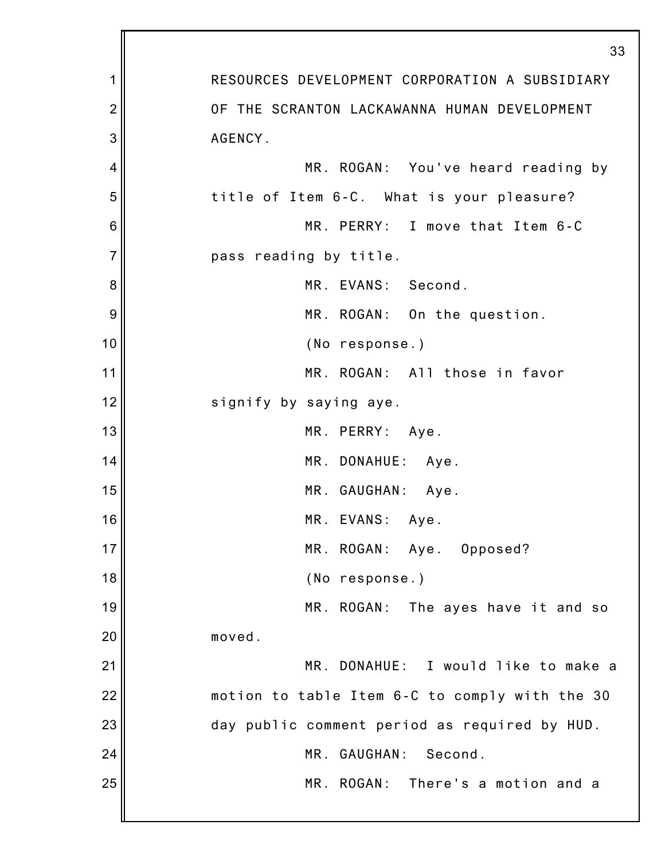|                | 33                                             |
|----------------|------------------------------------------------|
| 1              | RESOURCES DEVELOPMENT CORPORATION A SUBSIDIARY |
| $\overline{2}$ | OF THE SCRANTON LACKAWANNA HUMAN DEVELOPMENT   |
| 3              | AGENCY.                                        |
| 4              | MR. ROGAN: You've heard reading by             |
| 5              | title of Item 6-C. What is your pleasure?      |
| 6              | MR. PERRY: I move that Item 6-C                |
| 7              | pass reading by title.                         |
| 8              | MR. EVANS: Second.                             |
| 9              | MR. ROGAN: On the question.                    |
| 10             | (No response.)                                 |
| 11             | MR. ROGAN: All those in favor                  |
| 12             | signify by saying aye.                         |
| 13             | MR. PERRY: Aye.                                |
| 14             | MR. DONAHUE:<br>Aye.                           |
| 15             | MR. GAUGHAN:<br>Aye.                           |
| 16             | MR. EVANS:<br>Aye.                             |
| 17             | MR. ROGAN: Aye. Opposed?                       |
| 18             | (No response.)                                 |
| 19             | MR. ROGAN: The ayes have it and so             |
| 20             | moved.                                         |
| 21             | MR. DONAHUE: I would like to make a            |
| 22             | motion to table Item 6-C to comply with the 30 |
| 23             | day public comment period as required by HUD.  |
| 24             | MR. GAUGHAN:<br>Second.                        |
| 25             | MR. ROGAN:<br>There's a motion and a           |
|                |                                                |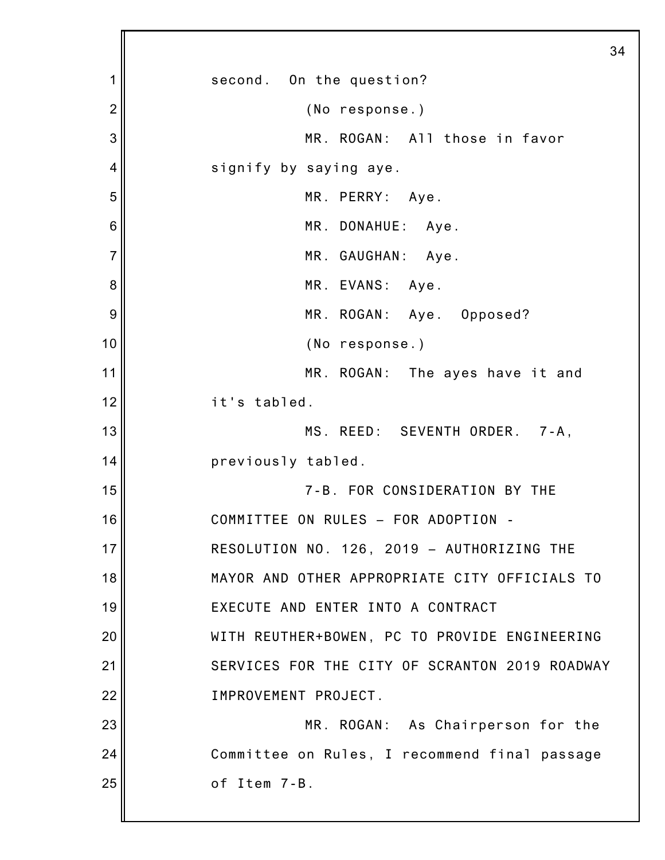1 2 3 4 5 6 7 8 9 10 11 12 13 14 15 16 17 18 19 20 21 22 23 24 25 34 second. On the question? (No response.) MR. ROGAN: All those in favor signify by saying aye. MR. PERRY: Aye. MR. DONAHUE: Aye. MR. GAUGHAN: Aye. MR. EVANS: Aye. MR. ROGAN: Aye. Opposed? (No response.) MR. ROGAN: The ayes have it and it's tabled. MS. REED: SEVENTH ORDER. 7-A, previously tabled. 7-B. FOR CONSIDERATION BY THE COMMITTEE ON RULES – FOR ADOPTION - RESOLUTION NO. 126, 2019 – AUTHORIZING THE MAYOR AND OTHER APPROPRIATE CITY OFFICIALS TO EXECUTE AND ENTER INTO A CONTRACT WITH REUTHER+BOWEN, PC TO PROVIDE ENGINEERING SERVICES FOR THE CITY OF SCRANTON 2019 ROADWAY IMPROVEMENT PROJECT. MR. ROGAN: As Chairperson for the Committee on Rules, I recommend final passage of Item 7-B.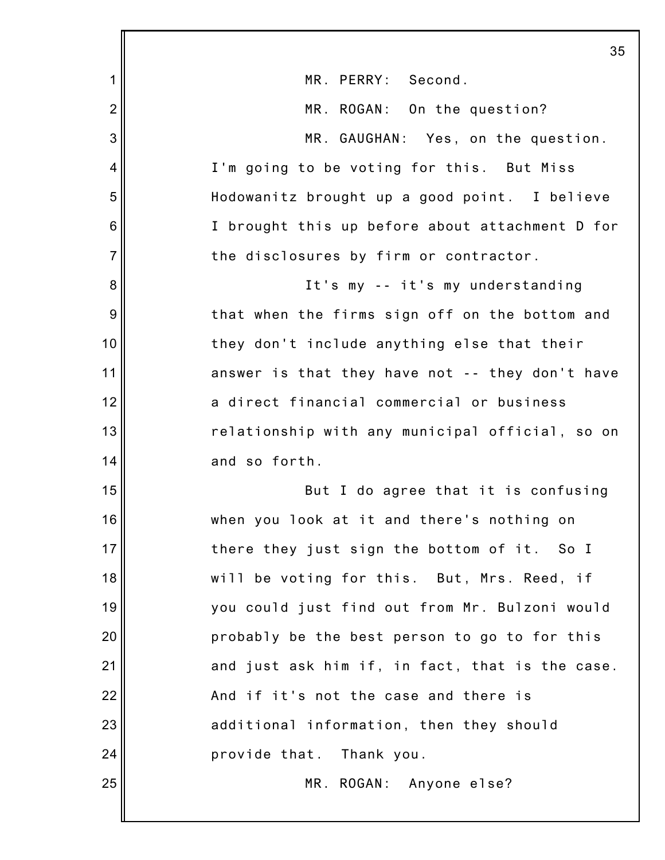|                 | 35                                              |
|-----------------|-------------------------------------------------|
| 1               | MR. PERRY: Second.                              |
| $\overline{2}$  | MR. ROGAN: On the question?                     |
| 3               | MR. GAUGHAN: Yes, on the question.              |
| 4               | I'm going to be voting for this. But Miss       |
| 5               | Hodowanitz brought up a good point. I believe   |
| $6\phantom{1}6$ | I brought this up before about attachment D for |
| $\overline{7}$  | the disclosures by firm or contractor.          |
| 8               | It's my -- it's my understanding                |
| $\overline{9}$  | that when the firms sign off on the bottom and  |
| 10              | they don't include anything else that their     |
| 11              | answer is that they have not -- they don't have |
| 12              | a direct financial commercial or business       |
| 13              | relationship with any municipal official, so on |
| 14              | and so forth.                                   |
| 15              | But I do agree that it is confusing             |
| 16              | when you look at it and there's nothing on      |
| 17              | there they just sign the bottom of it. So I     |
| 18              | will be voting for this. But, Mrs. Reed, if     |
| 19              | you could just find out from Mr. Bulzoni would  |
| 20              | probably be the best person to go to for this   |
| 21              | and just ask him if, in fact, that is the case. |
| 22              | And if it's not the case and there is           |
| 23              | additional information, then they should        |
| 24              | provide that. Thank you.                        |
| 25              | MR. ROGAN: Anyone else?                         |
|                 |                                                 |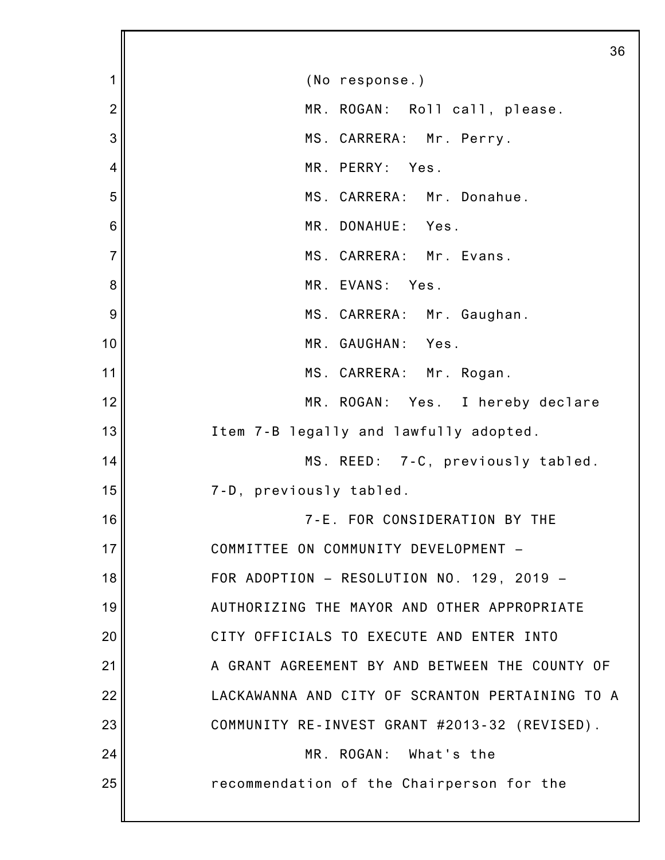1 2 3 4 5 6 7 8 9 10 11 12 13 14 15 16 17 18 19 20 21 22 23 24 25 36 (No response.) MR. ROGAN: Roll call, please. MS. CARRERA: Mr. Perry. MR. PERRY: Yes. MS. CARRERA: Mr. Donahue. MR. DONAHUE: Yes. MS. CARRERA: Mr. Evans. MR. EVANS: Yes. MS. CARRERA: Mr. Gaughan. MR. GAUGHAN: Yes. MS. CARRERA: Mr. Rogan. MR. ROGAN: Yes. I hereby declare Item 7-B legally and lawfully adopted. MS. REED: 7-C, previously tabled. 7-D, previously tabled. 7-E. FOR CONSIDERATION BY THE COMMITTEE ON COMMUNITY DEVELOPMENT – FOR ADOPTION – RESOLUTION NO. 129, 2019 – AUTHORIZING THE MAYOR AND OTHER APPROPRIATE CITY OFFICIALS TO EXECUTE AND ENTER INTO A GRANT AGREEMENT BY AND BETWEEN THE COUNTY OF LACKAWANNA AND CITY OF SCRANTON PERTAINING TO A COMMUNITY RE-INVEST GRANT #2013-32 (REVISED). MR. ROGAN: What's the recommendation of the Chairperson for the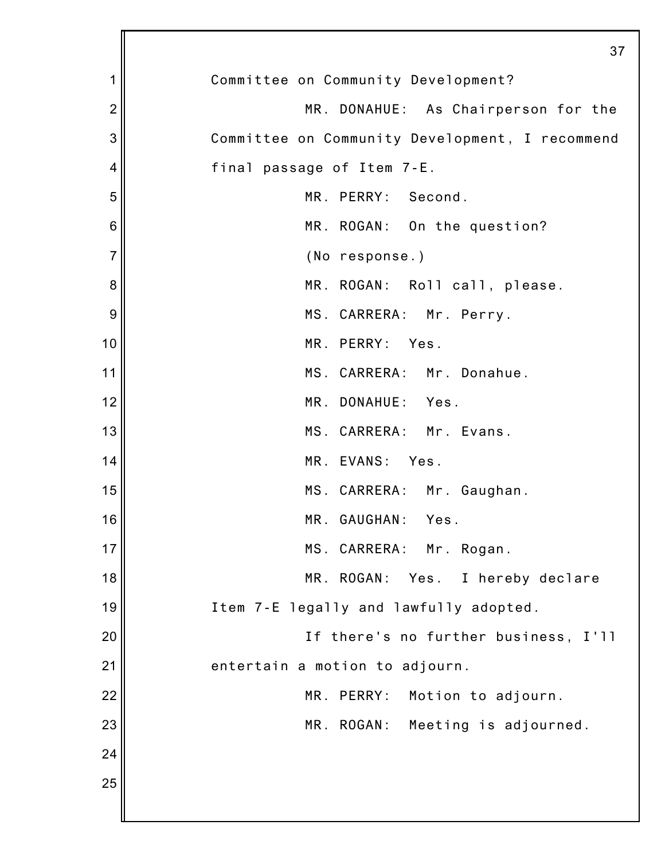|                | 37                                              |
|----------------|-------------------------------------------------|
| 1              | Committee on Community Development?             |
| $\overline{2}$ | MR. DONAHUE: As Chairperson for the             |
| 3              | Committee on Community Development, I recommend |
| 4              | final passage of Item 7-E.                      |
| 5              | MR. PERRY: Second.                              |
| 6              | MR. ROGAN: On the question?                     |
| $\overline{7}$ | (No response.)                                  |
| 8              | MR. ROGAN: Roll call, please.                   |
| 9              | MS. CARRERA: Mr. Perry.                         |
| 10             | MR. PERRY: Yes.                                 |
| 11             | MS. CARRERA: Mr. Donahue.                       |
| 12             | MR. DONAHUE: Yes.                               |
| 13             | MS. CARRERA: Mr. Evans.                         |
| 14             | MR. EVANS: Yes.                                 |
| 15             | MS. CARRERA: Mr. Gaughan.                       |
| 16             | MR. GAUGHAN:<br>Yes.                            |
| 17             | MS. CARRERA: Mr. Rogan.                         |
| 18             | MR. ROGAN:<br>Yes. I hereby declare             |
| 19             | Item 7-E legally and lawfully adopted.          |
| 20             | If there's no further business, I'll            |
| 21             | entertain a motion to adjourn.                  |
| 22             | MR. PERRY:<br>Motion to adjourn.                |
| 23             | MR. ROGAN:<br>Meeting is adjourned.             |
| 24             |                                                 |
| 25             |                                                 |
|                |                                                 |